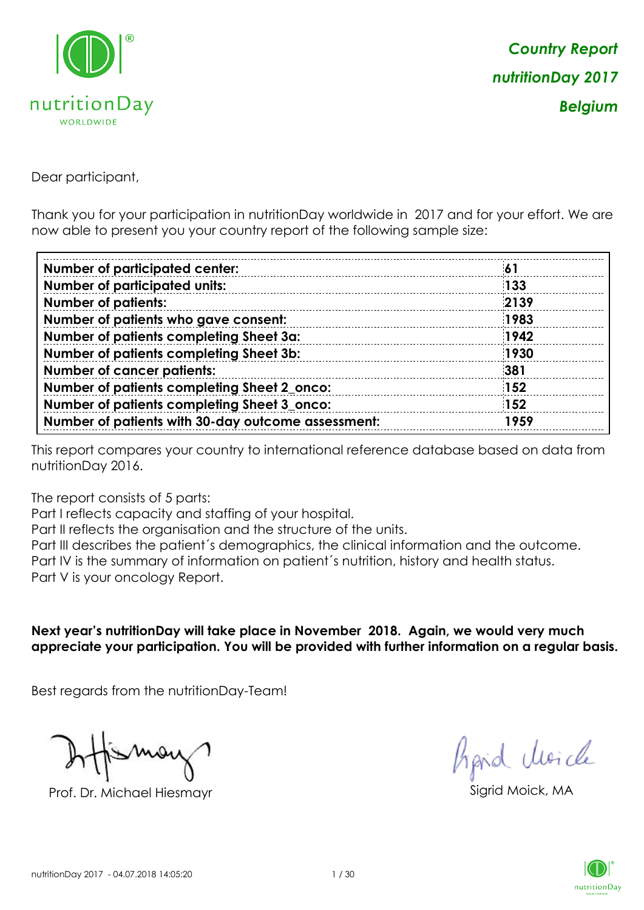

Dear participant,

Thank you for your participation in nutritionDay worldwide in 2017 and for your effort. We are now able to present you your country report of the following sample size:

| <b>Number of participated center:</b>              | -61        |
|----------------------------------------------------|------------|
| <b>Number of participated units:</b>               | 133        |
| <b>Number of patients:</b>                         | 2139       |
| Number of patients who gave consent:               | 1983       |
| Number of patients completing Sheet 3a:            | 1942       |
| Number of patients completing Sheet 3b:            | 1930       |
| <b>Number of cancer patients:</b>                  | 381        |
| Number of patients completing Sheet 2_onco:        | <b>152</b> |
| Number of patients completing Sheet 3_onco:        | 152        |
| Number of patients with 30-day outcome assessment: | 1959       |

This report compares your country to international reference database based on data from nutritionDay 2016.

The report consists of 5 parts:

Part I reflects capacity and staffing of your hospital.

Part II reflects the organisation and the structure of the units.

Part III describes the patient´s demographics, the clinical information and the outcome.

Part IV is the summary of information on patient´s nutrition, history and health status.

Part V is your oncology Report.

**Next year's nutritionDay will take place in November 2018. Again, we would very much appreciate your participation. You will be provided with further information on a regular basis.**

Best regards from the nutritionDay-Team!

Prof. Dr. Michael Hiesmayr Sigrid Moick, MA

fraid Moicle

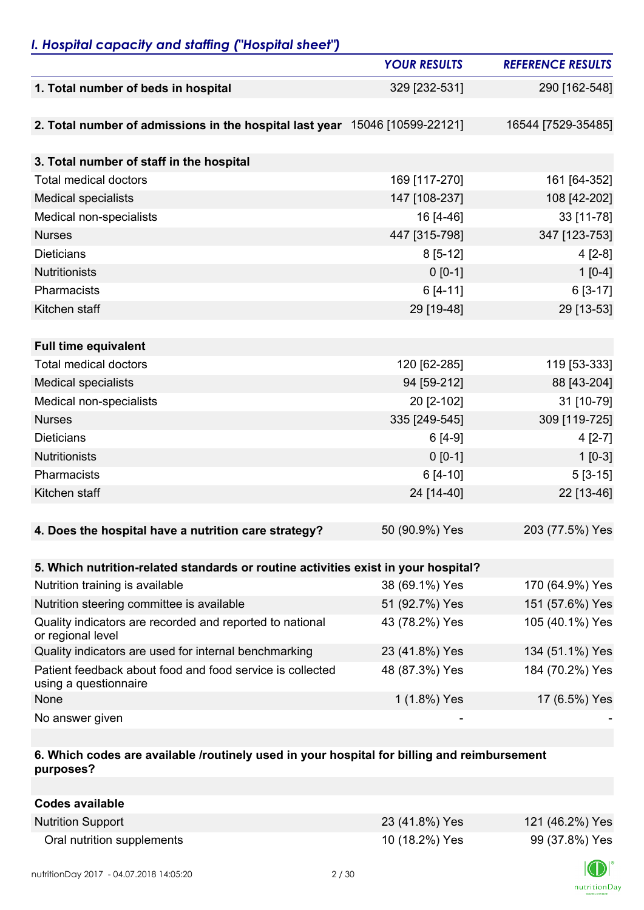## *I. Hospital capacity and staffing ("Hospital sheet")*

|                                                                                    | <b>YOUR RESULTS</b> | <b>REFERENCE RESULTS</b> |
|------------------------------------------------------------------------------------|---------------------|--------------------------|
| 1. Total number of beds in hospital                                                | 329 [232-531]       | 290 [162-548]            |
|                                                                                    |                     |                          |
| 2. Total number of admissions in the hospital last year 15046 [10599-22121]        |                     | 16544 [7529-35485]       |
|                                                                                    |                     |                          |
| 3. Total number of staff in the hospital                                           |                     |                          |
| <b>Total medical doctors</b>                                                       | 169 [117-270]       | 161 [64-352]             |
| <b>Medical specialists</b>                                                         | 147 [108-237]       | 108 [42-202]             |
| Medical non-specialists                                                            | 16 [4-46]           | 33 [11-78]               |
| <b>Nurses</b>                                                                      | 447 [315-798]       | 347 [123-753]            |
| <b>Dieticians</b>                                                                  | $8[5-12]$           | $4[2-8]$                 |
| Nutritionists                                                                      | $0 [0-1]$           | $1[0-4]$                 |
| Pharmacists                                                                        | $6[4-11]$           | $6[3-17]$                |
| Kitchen staff                                                                      | 29 [19-48]          | 29 [13-53]               |
|                                                                                    |                     |                          |
| <b>Full time equivalent</b>                                                        |                     |                          |
| <b>Total medical doctors</b>                                                       | 120 [62-285]        | 119 [53-333]             |
| <b>Medical specialists</b>                                                         | 94 [59-212]         | 88 [43-204]              |
| Medical non-specialists                                                            | 20 [2-102]          | 31 [10-79]               |
| <b>Nurses</b>                                                                      | 335 [249-545]       | 309 [119-725]            |
| <b>Dieticians</b>                                                                  | $6[4-9]$            | $4[2-7]$                 |
| <b>Nutritionists</b>                                                               | $0 [0-1]$           | $1[0-3]$                 |
| Pharmacists                                                                        | $6[4-10]$           | $5[3-15]$                |
| Kitchen staff                                                                      | 24 [14-40]          | 22 [13-46]               |
|                                                                                    |                     |                          |
| 4. Does the hospital have a nutrition care strategy?                               | 50 (90.9%) Yes      | 203 (77.5%) Yes          |
|                                                                                    |                     |                          |
| 5. Which nutrition-related standards or routine activities exist in your hospital? |                     |                          |
| Nutrition training is available                                                    | 38 (69.1%) Yes      | 170 (64.9%) Yes          |
| Nutrition steering committee is available                                          | 51 (92.7%) Yes      | 151 (57.6%) Yes          |
| Quality indicators are recorded and reported to national<br>or regional level      | 43 (78.2%) Yes      | 105 (40.1%) Yes          |
| Quality indicators are used for internal benchmarking                              | 23 (41.8%) Yes      | 134 (51.1%) Yes          |
| Patient feedback about food and food service is collected<br>using a questionnaire | 48 (87.3%) Yes      | 184 (70.2%) Yes          |
| None                                                                               | 1 (1.8%) Yes        | 17 (6.5%) Yes            |
| No answer given                                                                    |                     |                          |

### **6. Which codes are available /routinely used in your hospital for billing and reimbursement purposes?**

| Codes available            |                |                 |
|----------------------------|----------------|-----------------|
| <b>Nutrition Support</b>   | 23 (41.8%) Yes | 121 (46.2%) Yes |
| Oral nutrition supplements | 10 (18.2%) Yes | 99 (37.8%) Yes  |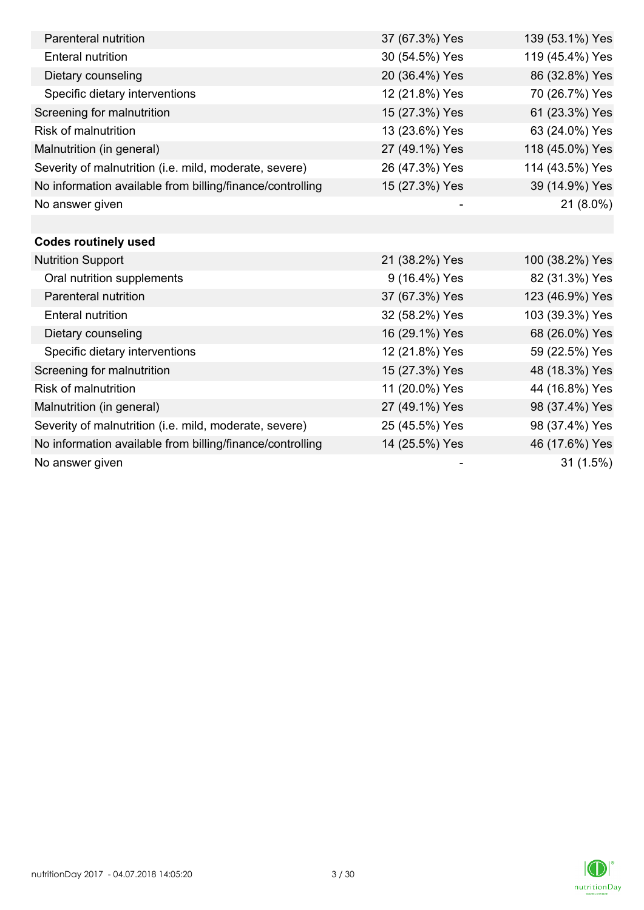| Parenteral nutrition                                      | 37 (67.3%) Yes | 139 (53.1%) Yes |
|-----------------------------------------------------------|----------------|-----------------|
| <b>Enteral nutrition</b>                                  | 30 (54.5%) Yes | 119 (45.4%) Yes |
| Dietary counseling                                        | 20 (36.4%) Yes | 86 (32.8%) Yes  |
| Specific dietary interventions                            | 12 (21.8%) Yes | 70 (26.7%) Yes  |
| Screening for malnutrition                                | 15 (27.3%) Yes | 61 (23.3%) Yes  |
| <b>Risk of malnutrition</b>                               | 13 (23.6%) Yes | 63 (24.0%) Yes  |
| Malnutrition (in general)                                 | 27 (49.1%) Yes | 118 (45.0%) Yes |
| Severity of malnutrition (i.e. mild, moderate, severe)    | 26 (47.3%) Yes | 114 (43.5%) Yes |
| No information available from billing/finance/controlling | 15 (27.3%) Yes | 39 (14.9%) Yes  |
| No answer given                                           |                | 21 (8.0%)       |
|                                                           |                |                 |
| <b>Codes routinely used</b>                               |                |                 |
| <b>Nutrition Support</b>                                  | 21 (38.2%) Yes | 100 (38.2%) Yes |
| Oral nutrition supplements                                | 9 (16.4%) Yes  | 82 (31.3%) Yes  |
| Parenteral nutrition                                      | 37 (67.3%) Yes | 123 (46.9%) Yes |
| <b>Enteral nutrition</b>                                  | 32 (58.2%) Yes | 103 (39.3%) Yes |
| Dietary counseling                                        | 16 (29.1%) Yes | 68 (26.0%) Yes  |
| Specific dietary interventions                            | 12 (21.8%) Yes | 59 (22.5%) Yes  |
| Screening for malnutrition                                | 15 (27.3%) Yes | 48 (18.3%) Yes  |
| <b>Risk of malnutrition</b>                               | 11 (20.0%) Yes | 44 (16.8%) Yes  |
| Malnutrition (in general)                                 | 27 (49.1%) Yes | 98 (37.4%) Yes  |
| Severity of malnutrition (i.e. mild, moderate, severe)    | 25 (45.5%) Yes | 98 (37.4%) Yes  |
| No information available from billing/finance/controlling | 14 (25.5%) Yes | 46 (17.6%) Yes  |
| No answer given                                           |                | 31(1.5%)        |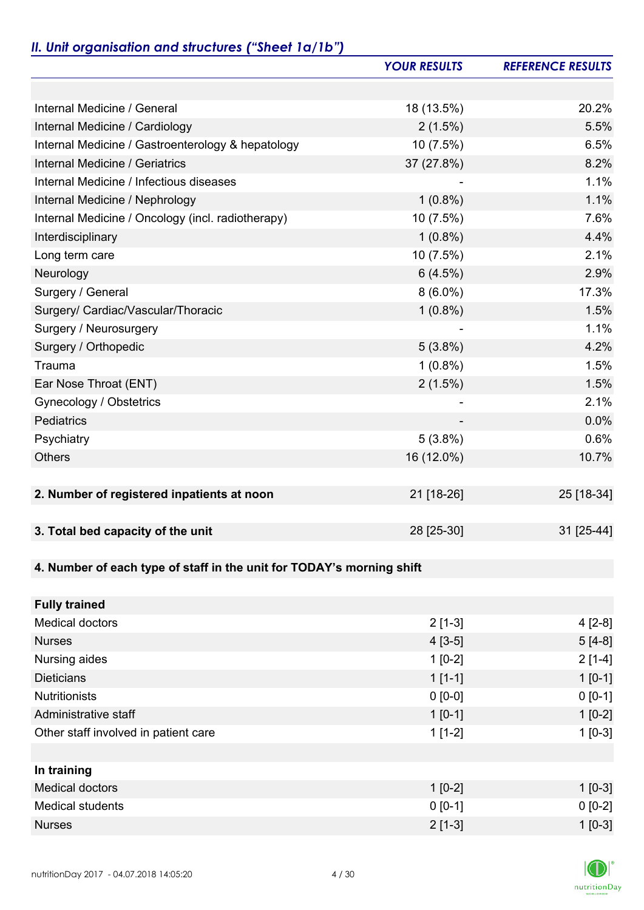# *II. Unit organisation and structures ("Sheet 1a/1b")*

|                                                                       | <b>YOUR RESULTS</b> | <b>REFERENCE RESULTS</b> |
|-----------------------------------------------------------------------|---------------------|--------------------------|
|                                                                       |                     |                          |
| Internal Medicine / General                                           | 18 (13.5%)          | 20.2%                    |
| Internal Medicine / Cardiology                                        | 2(1.5%)             | 5.5%                     |
| Internal Medicine / Gastroenterology & hepatology                     | 10(7.5%)            | 6.5%                     |
| Internal Medicine / Geriatrics                                        | 37 (27.8%)          | 8.2%                     |
| Internal Medicine / Infectious diseases                               |                     | 1.1%                     |
| Internal Medicine / Nephrology                                        | $1(0.8\%)$          | 1.1%                     |
| Internal Medicine / Oncology (incl. radiotherapy)                     | 10 (7.5%)           | 7.6%                     |
| Interdisciplinary                                                     | $1(0.8\%)$          | 4.4%                     |
| Long term care                                                        | 10 (7.5%)           | 2.1%                     |
| Neurology                                                             | 6(4.5%)             | 2.9%                     |
| Surgery / General                                                     | $8(6.0\%)$          | 17.3%                    |
| Surgery/ Cardiac/Vascular/Thoracic                                    | $1(0.8\%)$          | 1.5%                     |
| Surgery / Neurosurgery                                                |                     | 1.1%                     |
| Surgery / Orthopedic                                                  | $5(3.8\%)$          | 4.2%                     |
| Trauma                                                                | $1(0.8\%)$          | 1.5%                     |
| Ear Nose Throat (ENT)                                                 | 2(1.5%)             | 1.5%                     |
| Gynecology / Obstetrics                                               |                     | 2.1%                     |
| Pediatrics                                                            |                     | 0.0%                     |
| Psychiatry                                                            | $5(3.8\%)$          | 0.6%                     |
| <b>Others</b>                                                         | 16 (12.0%)          | 10.7%                    |
|                                                                       |                     |                          |
| 2. Number of registered inpatients at noon                            | 21 [18-26]          | 25 [18-34]               |
|                                                                       |                     |                          |
| 3. Total bed capacity of the unit                                     | 28 [25-30]          | 31 [25-44]               |
|                                                                       |                     |                          |
| 4. Number of each type of staff in the unit for TODAY's morning shift |                     |                          |
|                                                                       |                     |                          |
| <b>Fully trained</b>                                                  |                     |                          |
| <b>Medical doctors</b>                                                | $2[1-3]$            | $4[2-8]$                 |
| <b>Nurses</b>                                                         | $4[3-5]$            | $5[4-8]$                 |
| Nursing aides                                                         | $1[0-2]$            | $2[1-4]$                 |
| <b>Dieticians</b>                                                     | $1[1-1]$            | $1 [0-1]$                |
| <b>Nutritionists</b>                                                  | $0 [0-0]$           | $0 [0-1]$                |
| Administrative staff                                                  | $1[0-1]$            | $1[0-2]$                 |
| Other staff involved in patient care                                  | $1[1-2]$            | $1[0-3]$                 |
|                                                                       |                     |                          |
| In training                                                           |                     |                          |
| <b>Medical doctors</b>                                                | $1[0-2]$            | $1$ [0-3]                |
| <b>Medical students</b>                                               | $0 [0-1]$           | $0 [0-2]$                |
| <b>Nurses</b>                                                         | $2[1-3]$            | $1 [0-3]$                |

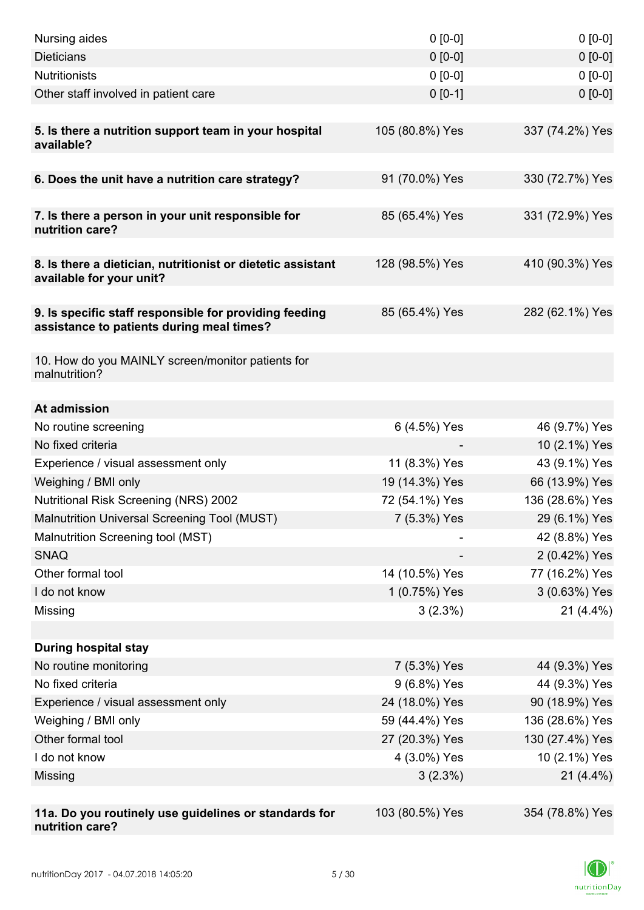| Nursing aides                                                                                       | $0 [0-0]$       | $0[0-0]$        |
|-----------------------------------------------------------------------------------------------------|-----------------|-----------------|
| <b>Dieticians</b>                                                                                   | $0 [0-0]$       | $0 [0-0]$       |
| <b>Nutritionists</b>                                                                                | $0 [0-0]$       | $0 [0-0]$       |
| Other staff involved in patient care                                                                | $0 [0-1]$       | $0 [0-0]$       |
|                                                                                                     |                 |                 |
| 5. Is there a nutrition support team in your hospital<br>available?                                 | 105 (80.8%) Yes | 337 (74.2%) Yes |
| 6. Does the unit have a nutrition care strategy?                                                    | 91 (70.0%) Yes  | 330 (72.7%) Yes |
|                                                                                                     |                 |                 |
| 7. Is there a person in your unit responsible for<br>nutrition care?                                | 85 (65.4%) Yes  | 331 (72.9%) Yes |
| 8. Is there a dietician, nutritionist or dietetic assistant<br>available for your unit?             | 128 (98.5%) Yes | 410 (90.3%) Yes |
| 9. Is specific staff responsible for providing feeding<br>assistance to patients during meal times? | 85 (65.4%) Yes  | 282 (62.1%) Yes |
| 10. How do you MAINLY screen/monitor patients for<br>malnutrition?                                  |                 |                 |
| At admission                                                                                        |                 |                 |
| No routine screening                                                                                | 6 (4.5%) Yes    | 46 (9.7%) Yes   |
| No fixed criteria                                                                                   |                 | 10 (2.1%) Yes   |
| Experience / visual assessment only                                                                 | 11 (8.3%) Yes   | 43 (9.1%) Yes   |
| Weighing / BMI only                                                                                 | 19 (14.3%) Yes  | 66 (13.9%) Yes  |
| <b>Nutritional Risk Screening (NRS) 2002</b>                                                        | 72 (54.1%) Yes  | 136 (28.6%) Yes |
| Malnutrition Universal Screening Tool (MUST)                                                        | 7 (5.3%) Yes    | 29 (6.1%) Yes   |
| Malnutrition Screening tool (MST)                                                                   |                 | 42 (8.8%) Yes   |
| <b>SNAQ</b>                                                                                         |                 | 2 (0.42%) Yes   |
| Other formal tool                                                                                   | 14 (10.5%) Yes  | 77 (16.2%) Yes  |
| I do not know                                                                                       | 1 (0.75%) Yes   | 3 (0.63%) Yes   |
| Missing                                                                                             | $3(2.3\%)$      | $21(4.4\%)$     |
|                                                                                                     |                 |                 |
| <b>During hospital stay</b>                                                                         |                 |                 |
| No routine monitoring                                                                               | 7 (5.3%) Yes    | 44 (9.3%) Yes   |
| No fixed criteria                                                                                   | 9 (6.8%) Yes    | 44 (9.3%) Yes   |
| Experience / visual assessment only                                                                 | 24 (18.0%) Yes  | 90 (18.9%) Yes  |
| Weighing / BMI only                                                                                 | 59 (44.4%) Yes  | 136 (28.6%) Yes |
| Other formal tool                                                                                   | 27 (20.3%) Yes  | 130 (27.4%) Yes |
| I do not know                                                                                       | 4 (3.0%) Yes    | 10 (2.1%) Yes   |
| Missing                                                                                             | 3(2.3%)         | $21(4.4\%)$     |
|                                                                                                     |                 |                 |
| 11a. Do you routinely use guidelines or standards for<br>nutrition care?                            | 103 (80.5%) Yes | 354 (78.8%) Yes |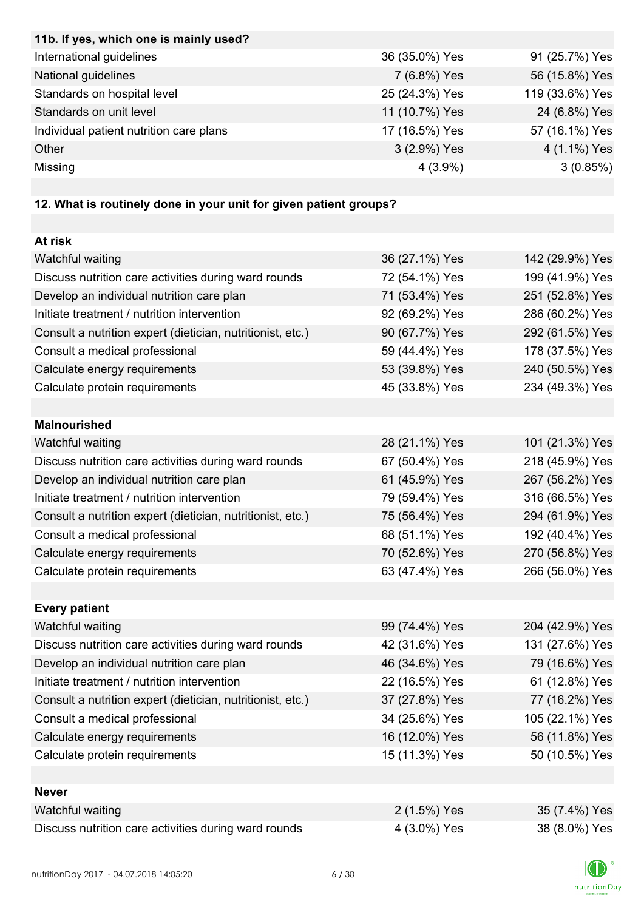| 11b. If yes, which one is mainly used?                            |                |                 |
|-------------------------------------------------------------------|----------------|-----------------|
| International guidelines                                          | 36 (35.0%) Yes | 91 (25.7%) Yes  |
| National guidelines                                               | 7 (6.8%) Yes   | 56 (15.8%) Yes  |
| Standards on hospital level                                       | 25 (24.3%) Yes | 119 (33.6%) Yes |
| Standards on unit level                                           | 11 (10.7%) Yes | 24 (6.8%) Yes   |
| Individual patient nutrition care plans                           | 17 (16.5%) Yes | 57 (16.1%) Yes  |
| Other                                                             | 3 (2.9%) Yes   | 4 (1.1%) Yes    |
| Missing                                                           | $4(3.9\%)$     | 3(0.85%)        |
|                                                                   |                |                 |
| 12. What is routinely done in your unit for given patient groups? |                |                 |
|                                                                   |                |                 |
| At risk                                                           |                |                 |
| Watchful waiting                                                  | 36 (27.1%) Yes | 142 (29.9%) Yes |
| Discuss nutrition care activities during ward rounds              | 72 (54.1%) Yes | 199 (41.9%) Yes |
| Develop an individual nutrition care plan                         | 71 (53.4%) Yes | 251 (52.8%) Yes |
| Initiate treatment / nutrition intervention                       | 92 (69.2%) Yes | 286 (60.2%) Yes |
| Consult a nutrition expert (dietician, nutritionist, etc.)        | 90 (67.7%) Yes | 292 (61.5%) Yes |
| Consult a medical professional                                    | 59 (44.4%) Yes | 178 (37.5%) Yes |
| Calculate energy requirements                                     | 53 (39.8%) Yes | 240 (50.5%) Yes |
| Calculate protein requirements                                    | 45 (33.8%) Yes | 234 (49.3%) Yes |
|                                                                   |                |                 |
| <b>Malnourished</b>                                               |                |                 |
| Watchful waiting                                                  | 28 (21.1%) Yes | 101 (21.3%) Yes |
| Discuss nutrition care activities during ward rounds              | 67 (50.4%) Yes | 218 (45.9%) Yes |
| Develop an individual nutrition care plan                         | 61 (45.9%) Yes | 267 (56.2%) Yes |
| Initiate treatment / nutrition intervention                       | 79 (59.4%) Yes | 316 (66.5%) Yes |
| Consult a nutrition expert (dietician, nutritionist, etc.)        | 75 (56.4%) Yes | 294 (61.9%) Yes |
| Consult a medical professional                                    | 68 (51.1%) Yes | 192 (40.4%) Yes |
| Calculate energy requirements                                     | 70 (52.6%) Yes | 270 (56.8%) Yes |
| Calculate protein requirements                                    | 63 (47.4%) Yes | 266 (56.0%) Yes |
|                                                                   |                |                 |
| <b>Every patient</b>                                              |                |                 |
| Watchful waiting                                                  | 99 (74.4%) Yes | 204 (42.9%) Yes |
| Discuss nutrition care activities during ward rounds              | 42 (31.6%) Yes | 131 (27.6%) Yes |
| Develop an individual nutrition care plan                         | 46 (34.6%) Yes | 79 (16.6%) Yes  |
| Initiate treatment / nutrition intervention                       | 22 (16.5%) Yes | 61 (12.8%) Yes  |
| Consult a nutrition expert (dietician, nutritionist, etc.)        | 37 (27.8%) Yes | 77 (16.2%) Yes  |
| Consult a medical professional                                    | 34 (25.6%) Yes | 105 (22.1%) Yes |
| Calculate energy requirements                                     | 16 (12.0%) Yes | 56 (11.8%) Yes  |
| Calculate protein requirements                                    | 15 (11.3%) Yes | 50 (10.5%) Yes  |
|                                                                   |                |                 |
| <b>Never</b>                                                      |                |                 |
| Watchful waiting                                                  | 2 (1.5%) Yes   | 35 (7.4%) Yes   |
| Discuss nutrition care activities during ward rounds              | 4 (3.0%) Yes   | 38 (8.0%) Yes   |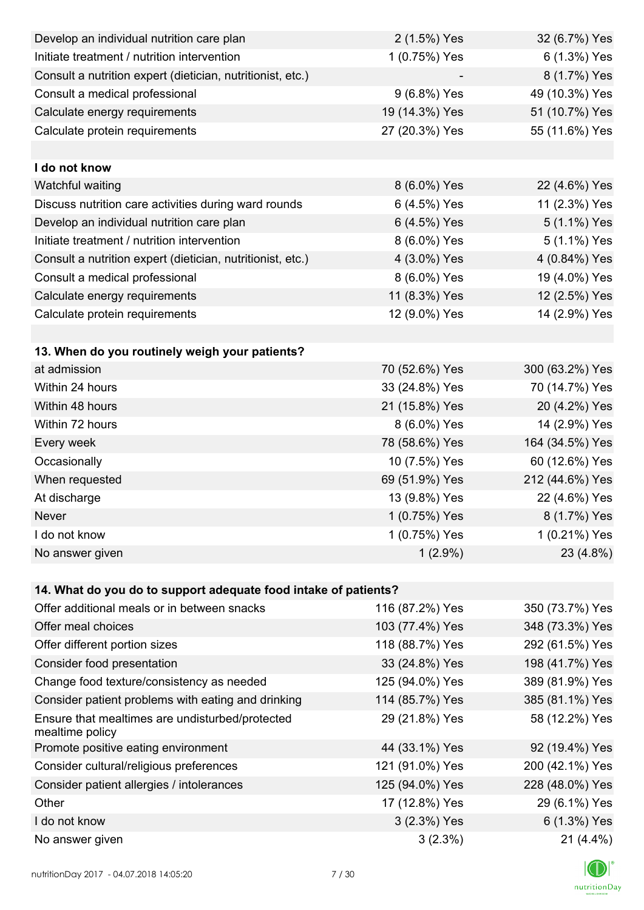| Develop an individual nutrition care plan                          | 2 (1.5%) Yes    | 32 (6.7%) Yes   |
|--------------------------------------------------------------------|-----------------|-----------------|
| Initiate treatment / nutrition intervention                        | 1 (0.75%) Yes   | 6 (1.3%) Yes    |
| Consult a nutrition expert (dietician, nutritionist, etc.)         |                 | 8 (1.7%) Yes    |
| Consult a medical professional                                     | 9 (6.8%) Yes    | 49 (10.3%) Yes  |
| Calculate energy requirements                                      | 19 (14.3%) Yes  | 51 (10.7%) Yes  |
| Calculate protein requirements                                     | 27 (20.3%) Yes  | 55 (11.6%) Yes  |
|                                                                    |                 |                 |
| I do not know                                                      |                 |                 |
| Watchful waiting                                                   | 8 (6.0%) Yes    | 22 (4.6%) Yes   |
| Discuss nutrition care activities during ward rounds               | 6 (4.5%) Yes    | 11 (2.3%) Yes   |
| Develop an individual nutrition care plan                          | 6 (4.5%) Yes    | 5 (1.1%) Yes    |
| Initiate treatment / nutrition intervention                        | 8 (6.0%) Yes    | 5 (1.1%) Yes    |
| Consult a nutrition expert (dietician, nutritionist, etc.)         | 4 (3.0%) Yes    | 4 (0.84%) Yes   |
| Consult a medical professional                                     | 8 (6.0%) Yes    | 19 (4.0%) Yes   |
| Calculate energy requirements                                      | 11 (8.3%) Yes   | 12 (2.5%) Yes   |
| Calculate protein requirements                                     | 12 (9.0%) Yes   | 14 (2.9%) Yes   |
|                                                                    |                 |                 |
| 13. When do you routinely weigh your patients?                     |                 |                 |
| at admission                                                       | 70 (52.6%) Yes  | 300 (63.2%) Yes |
| Within 24 hours                                                    | 33 (24.8%) Yes  | 70 (14.7%) Yes  |
| Within 48 hours                                                    | 21 (15.8%) Yes  | 20 (4.2%) Yes   |
| Within 72 hours                                                    | 8 (6.0%) Yes    | 14 (2.9%) Yes   |
| Every week                                                         | 78 (58.6%) Yes  | 164 (34.5%) Yes |
| Occasionally                                                       | 10 (7.5%) Yes   | 60 (12.6%) Yes  |
| When requested                                                     | 69 (51.9%) Yes  | 212 (44.6%) Yes |
| At discharge                                                       | 13 (9.8%) Yes   | 22 (4.6%) Yes   |
| Never                                                              | 1 (0.75%) Yes   | 8 (1.7%) Yes    |
| I do not know                                                      | 1 (0.75%) Yes   | 1 (0.21%) Yes   |
| No answer given                                                    | $1(2.9\%)$      | 23 (4.8%)       |
|                                                                    |                 |                 |
| 14. What do you do to support adequate food intake of patients?    |                 |                 |
| Offer additional meals or in between snacks                        | 116 (87.2%) Yes | 350 (73.7%) Yes |
| Offer meal choices                                                 | 103 (77.4%) Yes | 348 (73.3%) Yes |
| Offer different portion sizes                                      | 118 (88.7%) Yes | 292 (61.5%) Yes |
| Consider food presentation                                         | 33 (24.8%) Yes  | 198 (41.7%) Yes |
| Change food texture/consistency as needed                          | 125 (94.0%) Yes | 389 (81.9%) Yes |
| Consider patient problems with eating and drinking                 | 114 (85.7%) Yes | 385 (81.1%) Yes |
| Ensure that mealtimes are undisturbed/protected<br>mealtime policy | 29 (21.8%) Yes  | 58 (12.2%) Yes  |
| Promote positive eating environment                                | 44 (33.1%) Yes  | 92 (19.4%) Yes  |
| Consider cultural/religious preferences                            | 121 (91.0%) Yes | 200 (42.1%) Yes |
| Consider patient allergies / intolerances                          | 125 (94.0%) Yes | 228 (48.0%) Yes |
| Other                                                              | 17 (12.8%) Yes  | 29 (6.1%) Yes   |
| I do not know                                                      | 3 (2.3%) Yes    | 6 (1.3%) Yes    |
| No answer given                                                    | 3(2.3%)         | $21(4.4\%)$     |

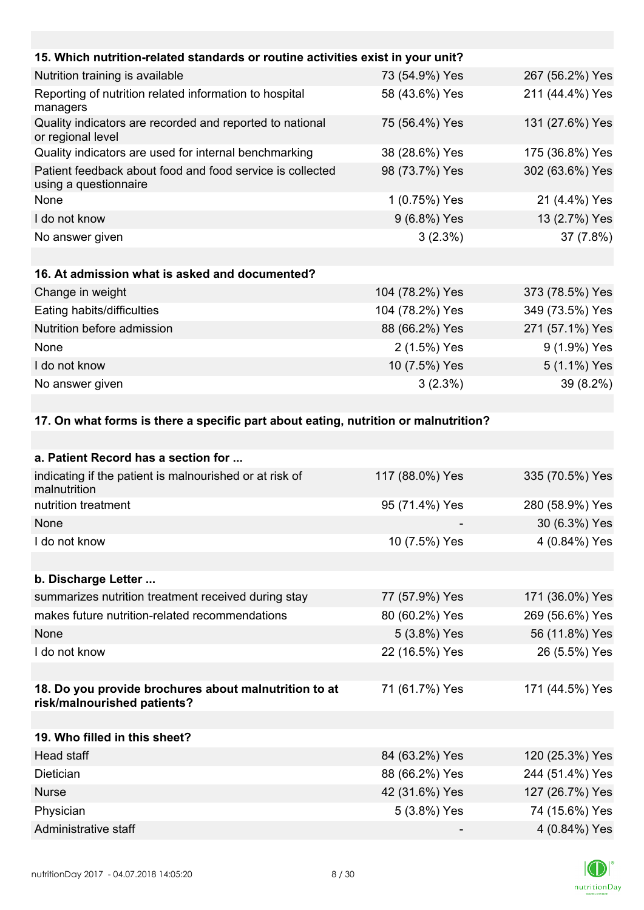| 15. Which nutrition-related standards or routine activities exist in your unit?     |                 |                 |
|-------------------------------------------------------------------------------------|-----------------|-----------------|
| Nutrition training is available                                                     | 73 (54.9%) Yes  | 267 (56.2%) Yes |
| Reporting of nutrition related information to hospital<br>managers                  | 58 (43.6%) Yes  | 211 (44.4%) Yes |
| Quality indicators are recorded and reported to national<br>or regional level       | 75 (56.4%) Yes  | 131 (27.6%) Yes |
| Quality indicators are used for internal benchmarking                               | 38 (28.6%) Yes  | 175 (36.8%) Yes |
| Patient feedback about food and food service is collected<br>using a questionnaire  | 98 (73.7%) Yes  | 302 (63.6%) Yes |
| None                                                                                | 1 (0.75%) Yes   | 21 (4.4%) Yes   |
| I do not know                                                                       | 9 (6.8%) Yes    | 13 (2.7%) Yes   |
| No answer given                                                                     | 3(2.3%)         | 37 (7.8%)       |
|                                                                                     |                 |                 |
| 16. At admission what is asked and documented?                                      |                 |                 |
| Change in weight                                                                    | 104 (78.2%) Yes | 373 (78.5%) Yes |
| Eating habits/difficulties                                                          | 104 (78.2%) Yes | 349 (73.5%) Yes |
| Nutrition before admission                                                          | 88 (66.2%) Yes  | 271 (57.1%) Yes |
| None                                                                                | 2 (1.5%) Yes    | 9 (1.9%) Yes    |
| I do not know                                                                       | 10 (7.5%) Yes   | 5 (1.1%) Yes    |
| No answer given                                                                     | $3(2.3\%)$      | 39 (8.2%)       |
|                                                                                     |                 |                 |
| 17. On what forms is there a specific part about eating, nutrition or malnutrition? |                 |                 |
|                                                                                     |                 |                 |
| a. Patient Record has a section for                                                 |                 |                 |
| indicating if the patient is malnourished or at risk of<br>malnutrition             | 117 (88.0%) Yes | 335 (70.5%) Yes |

| $\sim$<br>malnutrition                                                               | . 00.0707 . 00 | 000 110.0707 1 00 |
|--------------------------------------------------------------------------------------|----------------|-------------------|
| nutrition treatment                                                                  | 95 (71.4%) Yes | 280 (58.9%) Yes   |
| None                                                                                 |                | 30 (6.3%) Yes     |
| I do not know                                                                        | 10 (7.5%) Yes  | 4 (0.84%) Yes     |
|                                                                                      |                |                   |
| b. Discharge Letter                                                                  |                |                   |
| summarizes nutrition treatment received during stay                                  | 77 (57.9%) Yes | 171 (36.0%) Yes   |
| makes future nutrition-related recommendations                                       | 80 (60.2%) Yes | 269 (56.6%) Yes   |
| None                                                                                 | 5 (3.8%) Yes   | 56 (11.8%) Yes    |
| I do not know                                                                        | 22 (16.5%) Yes | 26 (5.5%) Yes     |
|                                                                                      |                |                   |
| 18. Do you provide brochures about malnutrition to at<br>risk/malnourished patients? | 71 (61.7%) Yes | 171 (44.5%) Yes   |
|                                                                                      |                |                   |
| 19. Who filled in this sheet?                                                        |                |                   |
| Head staff                                                                           | 84 (63.2%) Yes | 120 (25.3%) Yes   |
| Dietician                                                                            | 88 (66.2%) Yes | 244 (51.4%) Yes   |
| <b>Nurse</b>                                                                         | 42 (31.6%) Yes | 127 (26.7%) Yes   |
| Physician                                                                            | 5 (3.8%) Yes   | 74 (15.6%) Yes    |
| Administrative staff                                                                 |                | 4 (0.84%) Yes     |

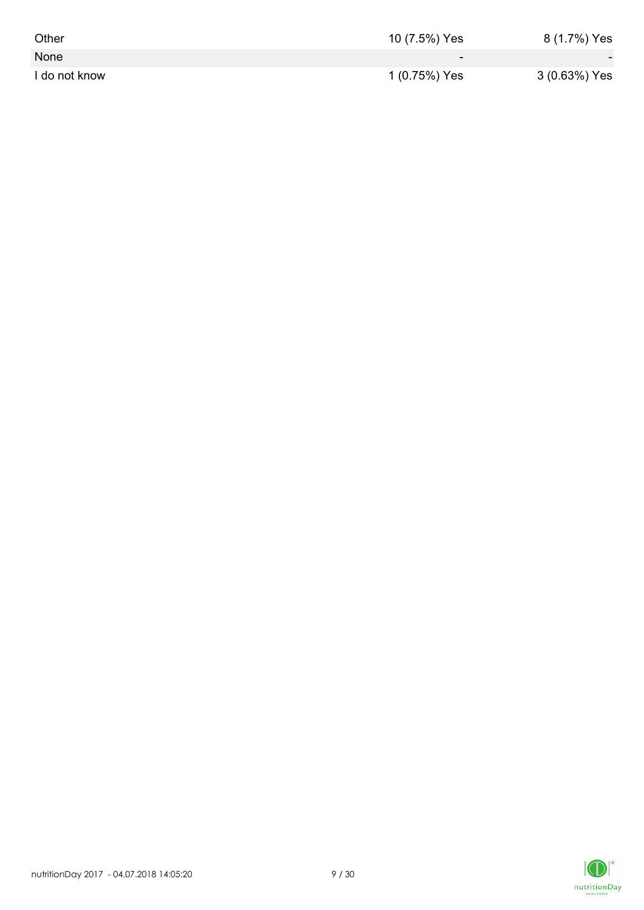| Other         | 10 (7.5%) Yes | 8 (1.7%) Yes  |
|---------------|---------------|---------------|
| None          | -             | $\sim$        |
| I do not know | 1 (0.75%) Yes | 3 (0.63%) Yes |

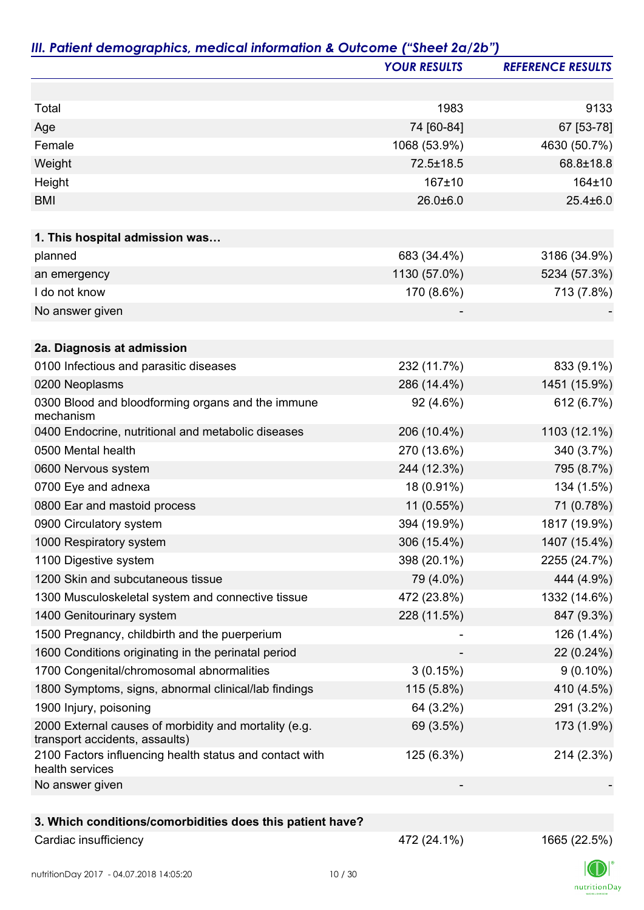|                                                                                         | <b>YOUR RESULTS</b> | <b>REFERENCE RESULTS</b> |
|-----------------------------------------------------------------------------------------|---------------------|--------------------------|
|                                                                                         |                     |                          |
| Total                                                                                   | 1983                | 9133                     |
| Age                                                                                     | 74 [60-84]          | 67 [53-78]               |
| Female                                                                                  | 1068 (53.9%)        | 4630 (50.7%)             |
| Weight                                                                                  | 72.5±18.5           | 68.8±18.8                |
| Height                                                                                  | 167±10              | 164±10                   |
| <b>BMI</b>                                                                              | $26.0 + 6.0$        | $25.4 \pm 6.0$           |
| 1. This hospital admission was                                                          |                     |                          |
| planned                                                                                 | 683 (34.4%)         | 3186 (34.9%)             |
| an emergency                                                                            | 1130 (57.0%)        | 5234 (57.3%)             |
| I do not know                                                                           | 170 (8.6%)          | 713 (7.8%)               |
| No answer given                                                                         |                     |                          |
| 2a. Diagnosis at admission                                                              |                     |                          |
| 0100 Infectious and parasitic diseases                                                  | 232 (11.7%)         | 833 (9.1%)               |
| 0200 Neoplasms                                                                          | 286 (14.4%)         | 1451 (15.9%)             |
| 0300 Blood and bloodforming organs and the immune                                       | 92 (4.6%)           | 612 (6.7%)               |
| mechanism                                                                               |                     |                          |
| 0400 Endocrine, nutritional and metabolic diseases                                      | 206 (10.4%)         | 1103 (12.1%)             |
| 0500 Mental health                                                                      | 270 (13.6%)         | 340 (3.7%)               |
| 0600 Nervous system                                                                     | 244 (12.3%)         | 795 (8.7%)               |
| 0700 Eye and adnexa                                                                     | 18 (0.91%)          | 134 (1.5%)               |
| 0800 Ear and mastoid process                                                            | 11 (0.55%)          | 71 (0.78%)               |
| 0900 Circulatory system                                                                 | 394 (19.9%)         | 1817 (19.9%)             |
| 1000 Respiratory system                                                                 | 306 (15.4%)         | 1407 (15.4%)             |
| 1100 Digestive system                                                                   | 398 (20.1%)         | 2255 (24.7%)             |
| 1200 Skin and subcutaneous tissue                                                       | 79 (4.0%)           | 444 (4.9%)               |
| 1300 Musculoskeletal system and connective tissue                                       | 472 (23.8%)         | 1332 (14.6%)             |
| 1400 Genitourinary system                                                               | 228 (11.5%)         | 847 (9.3%)               |
| 1500 Pregnancy, childbirth and the puerperium                                           |                     | 126 (1.4%)               |
| 1600 Conditions originating in the perinatal period                                     |                     | 22 (0.24%)               |
| 1700 Congenital/chromosomal abnormalities                                               | 3(0.15%)            | $9(0.10\%)$              |
| 1800 Symptoms, signs, abnormal clinical/lab findings                                    | 115 (5.8%)          | 410 (4.5%)               |
| 1900 Injury, poisoning                                                                  | 64 (3.2%)           | 291 (3.2%)               |
| 2000 External causes of morbidity and mortality (e.g.<br>transport accidents, assaults) | 69 (3.5%)           | 173 (1.9%)               |
| 2100 Factors influencing health status and contact with<br>health services              | 125 (6.3%)          | 214 (2.3%)               |
| No answer given                                                                         |                     |                          |
|                                                                                         |                     |                          |
| 3. Which conditions/comorbidities does this patient have?                               |                     |                          |
| Cardiac insufficiency                                                                   | 472 (24.1%)         | 1665 (22.5%)             |

K  $\label{eq:2} \mathsf{nutritionDay}$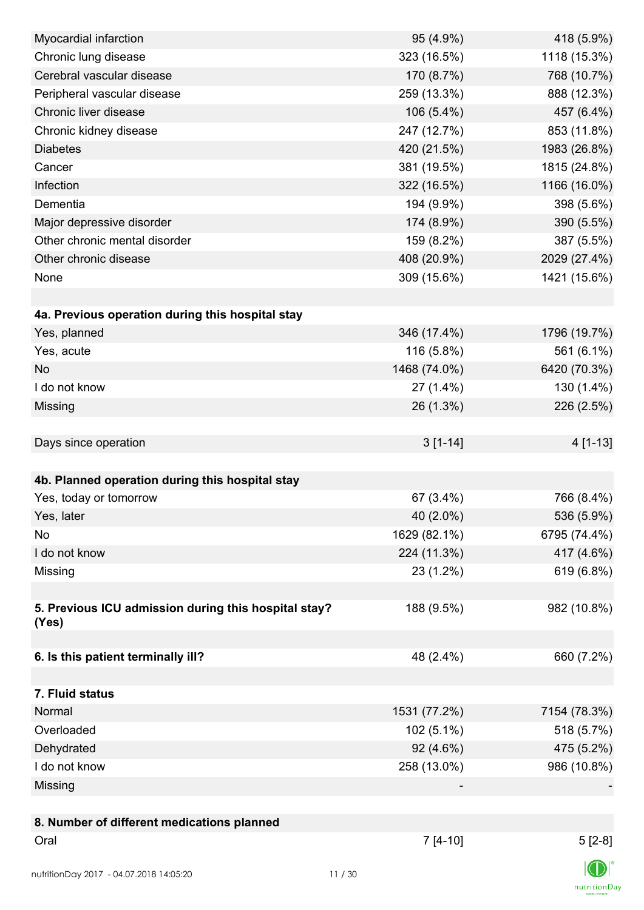| Myocardial infarction                                | 95 (4.9%)    | 418 (5.9%)   |
|------------------------------------------------------|--------------|--------------|
| Chronic lung disease                                 | 323 (16.5%)  | 1118 (15.3%) |
| Cerebral vascular disease                            | 170 (8.7%)   | 768 (10.7%)  |
| Peripheral vascular disease                          | 259 (13.3%)  | 888 (12.3%)  |
| Chronic liver disease                                | 106 (5.4%)   | 457 (6.4%)   |
| Chronic kidney disease                               | 247 (12.7%)  | 853 (11.8%)  |
| <b>Diabetes</b>                                      | 420 (21.5%)  | 1983 (26.8%) |
| Cancer                                               | 381 (19.5%)  | 1815 (24.8%) |
| Infection                                            | 322 (16.5%)  | 1166 (16.0%) |
| Dementia                                             | 194 (9.9%)   | 398 (5.6%)   |
| Major depressive disorder                            | 174 (8.9%)   | 390 (5.5%)   |
| Other chronic mental disorder                        | 159 (8.2%)   | 387 (5.5%)   |
| Other chronic disease                                | 408 (20.9%)  | 2029 (27.4%) |
| None                                                 | 309 (15.6%)  | 1421 (15.6%) |
|                                                      |              |              |
| 4a. Previous operation during this hospital stay     |              |              |
| Yes, planned                                         | 346 (17.4%)  | 1796 (19.7%) |
| Yes, acute                                           | 116 (5.8%)   | 561 (6.1%)   |
| <b>No</b>                                            | 1468 (74.0%) | 6420 (70.3%) |
| I do not know                                        | 27 (1.4%)    | 130 (1.4%)   |
| Missing                                              | 26 (1.3%)    | 226 (2.5%)   |
|                                                      |              |              |
| Days since operation                                 | $3[1-14]$    | 4 [1-13]     |
|                                                      |              |              |
| 4b. Planned operation during this hospital stay      |              |              |
| Yes, today or tomorrow                               | 67 (3.4%)    | 766 (8.4%)   |
| Yes, later                                           | 40 (2.0%)    | 536 (5.9%)   |
| No                                                   | 1629 (82.1%) | 6795 (74.4%) |
| I do not know                                        | 224 (11.3%)  | 417 (4.6%)   |
| Missing                                              | 23 (1.2%)    | 619 (6.8%)   |
|                                                      |              |              |
| 5. Previous ICU admission during this hospital stay? | 188 (9.5%)   | 982 (10.8%)  |
| (Yes)                                                |              |              |
|                                                      |              |              |
| 6. Is this patient terminally ill?                   | 48 (2.4%)    | 660 (7.2%)   |
|                                                      |              |              |
| 7. Fluid status                                      |              |              |
| Normal                                               | 1531 (77.2%) | 7154 (78.3%) |
| Overloaded                                           | $102(5.1\%)$ | 518 (5.7%)   |
| Dehydrated                                           | 92 (4.6%)    | 475 (5.2%)   |
| I do not know                                        | 258 (13.0%)  | 986 (10.8%)  |
| Missing                                              |              |              |
|                                                      |              |              |
| 8. Number of different medications planned           |              |              |
| Oral                                                 | $7[4-10]$    | $5[2-8]$     |
|                                                      |              |              |
| nutritionDay 2017 - 04.07.2018 14:05:20              | 11/30        |              |

 $\textsf{nutritionDay}$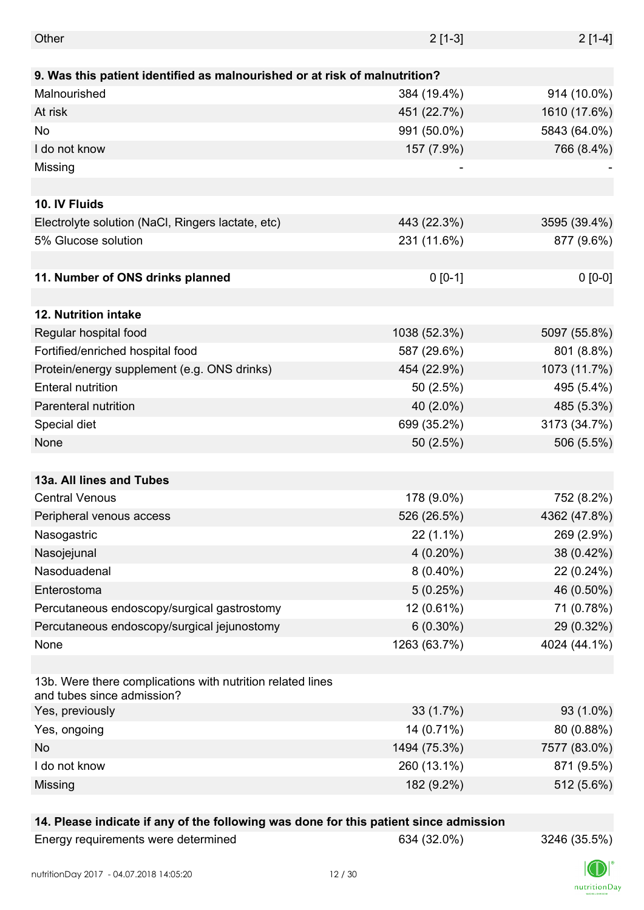| Other                                                                                    | $2[1-3]$     | $2[1-4]$     |
|------------------------------------------------------------------------------------------|--------------|--------------|
|                                                                                          |              |              |
| 9. Was this patient identified as malnourished or at risk of malnutrition?               |              |              |
| Malnourished                                                                             | 384 (19.4%)  | 914 (10.0%)  |
| At risk                                                                                  | 451 (22.7%)  | 1610 (17.6%) |
| <b>No</b>                                                                                | 991 (50.0%)  | 5843 (64.0%) |
| I do not know                                                                            | 157 (7.9%)   | 766 (8.4%)   |
| Missing                                                                                  |              |              |
|                                                                                          |              |              |
| 10. IV Fluids                                                                            |              |              |
| Electrolyte solution (NaCl, Ringers lactate, etc)                                        | 443 (22.3%)  | 3595 (39.4%) |
| 5% Glucose solution                                                                      | 231 (11.6%)  | 877 (9.6%)   |
|                                                                                          |              |              |
| 11. Number of ONS drinks planned                                                         | $0 [0-1]$    | $0 [0-0]$    |
|                                                                                          |              |              |
| 12. Nutrition intake                                                                     |              |              |
| Regular hospital food                                                                    | 1038 (52.3%) | 5097 (55.8%) |
| Fortified/enriched hospital food                                                         | 587 (29.6%)  | 801 (8.8%)   |
| Protein/energy supplement (e.g. ONS drinks)                                              | 454 (22.9%)  | 1073 (11.7%) |
| <b>Enteral nutrition</b>                                                                 | 50(2.5%)     | 495 (5.4%)   |
| Parenteral nutrition                                                                     | 40 (2.0%)    | 485 (5.3%)   |
| Special diet                                                                             | 699 (35.2%)  | 3173 (34.7%) |
| None                                                                                     | 50 (2.5%)    | 506 (5.5%)   |
|                                                                                          |              |              |
| 13a. All lines and Tubes                                                                 |              |              |
| <b>Central Venous</b>                                                                    | 178 (9.0%)   | 752 (8.2%)   |
| Peripheral venous access                                                                 | 526 (26.5%)  | 4362 (47.8%) |
| Nasogastric                                                                              | $22(1.1\%)$  | 269 (2.9%)   |
| Nasojejunal                                                                              | $4(0.20\%)$  | 38 (0.42%)   |
| Nasoduadenal                                                                             | $8(0.40\%)$  | 22 (0.24%)   |
| Enterostoma                                                                              | 5(0.25%)     | 46 (0.50%)   |
| Percutaneous endoscopy/surgical gastrostomy                                              | 12 (0.61%)   | 71 (0.78%)   |
| Percutaneous endoscopy/surgical jejunostomy                                              | $6(0.30\%)$  | 29 (0.32%)   |
| None                                                                                     | 1263 (63.7%) | 4024 (44.1%) |
|                                                                                          |              |              |
| 13b. Were there complications with nutrition related lines<br>and tubes since admission? |              |              |
| Yes, previously                                                                          | 33 (1.7%)    | 93 (1.0%)    |
| Yes, ongoing                                                                             | 14 (0.71%)   | 80 (0.88%)   |
| <b>No</b>                                                                                | 1494 (75.3%) | 7577 (83.0%) |
| I do not know                                                                            | 260 (13.1%)  | 871 (9.5%)   |
| Missing                                                                                  | 182 (9.2%)   | 512 (5.6%)   |
|                                                                                          |              |              |

### **14. Please indicate if any of the following was done for this patient since admission**

Energy requirements were determined 634 (32.0%) 3246 (35.5%)

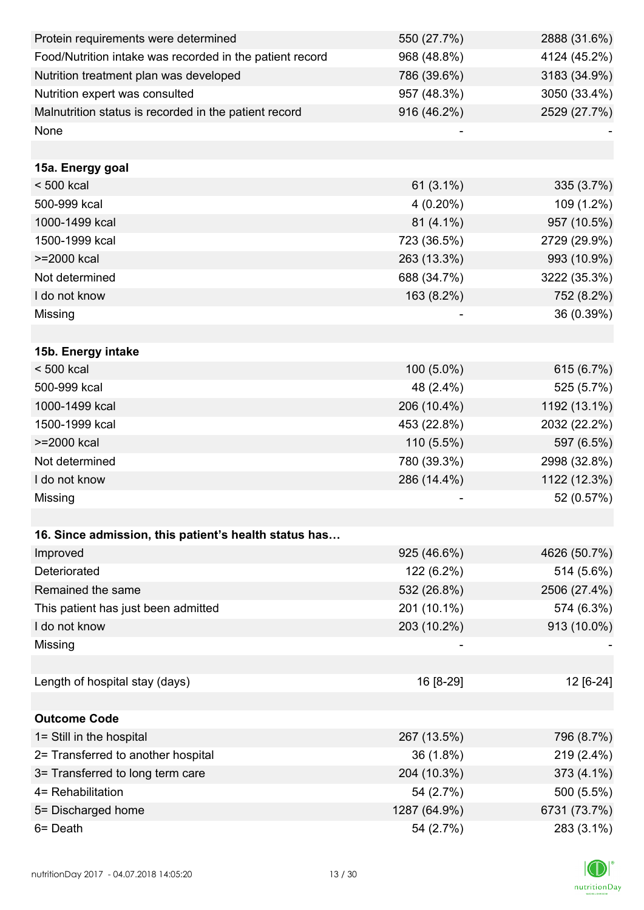| Protein requirements were determined                     | 550 (27.7%)  | 2888 (31.6%) |
|----------------------------------------------------------|--------------|--------------|
| Food/Nutrition intake was recorded in the patient record | 968 (48.8%)  | 4124 (45.2%) |
| Nutrition treatment plan was developed                   | 786 (39.6%)  | 3183 (34.9%) |
| Nutrition expert was consulted                           | 957 (48.3%)  | 3050 (33.4%) |
| Malnutrition status is recorded in the patient record    | 916 (46.2%)  | 2529 (27.7%) |
| None                                                     |              |              |
|                                                          |              |              |
| 15a. Energy goal                                         |              |              |
| $< 500$ kcal                                             | $61(3.1\%)$  | 335 (3.7%)   |
| 500-999 kcal                                             | $4(0.20\%)$  | 109 (1.2%)   |
| 1000-1499 kcal                                           | 81 (4.1%)    | 957 (10.5%)  |
| 1500-1999 kcal                                           | 723 (36.5%)  | 2729 (29.9%) |
| >=2000 kcal                                              | 263 (13.3%)  | 993 (10.9%)  |
| Not determined                                           | 688 (34.7%)  | 3222 (35.3%) |
| I do not know                                            | 163 (8.2%)   | 752 (8.2%)   |
| Missing                                                  |              | 36 (0.39%)   |
|                                                          |              |              |
| 15b. Energy intake                                       |              |              |
| $< 500$ kcal                                             | 100 (5.0%)   | 615 (6.7%)   |
| 500-999 kcal                                             | 48 (2.4%)    | 525 (5.7%)   |
| 1000-1499 kcal                                           | 206 (10.4%)  | 1192 (13.1%) |
| 1500-1999 kcal                                           | 453 (22.8%)  | 2032 (22.2%) |
| >=2000 kcal                                              | 110 (5.5%)   | 597 (6.5%)   |
| Not determined                                           | 780 (39.3%)  | 2998 (32.8%) |
| I do not know                                            | 286 (14.4%)  | 1122 (12.3%) |
| Missing                                                  |              | 52 (0.57%)   |
|                                                          |              |              |
| 16. Since admission, this patient's health status has    |              |              |
| Improved                                                 | 925 (46.6%)  | 4626 (50.7%) |
| Deteriorated                                             | 122 (6.2%)   | 514 (5.6%)   |
| Remained the same                                        | 532 (26.8%)  | 2506 (27.4%) |
| This patient has just been admitted                      | 201 (10.1%)  | 574 (6.3%)   |
| I do not know                                            | 203 (10.2%)  | 913 (10.0%)  |
| Missing                                                  |              |              |
|                                                          |              |              |
| Length of hospital stay (days)                           | 16 [8-29]    | 12 [6-24]    |
|                                                          |              |              |
| <b>Outcome Code</b>                                      |              |              |
| 1= Still in the hospital                                 | 267 (13.5%)  | 796 (8.7%)   |
| 2= Transferred to another hospital                       | 36 (1.8%)    | 219 (2.4%)   |
| 3= Transferred to long term care                         | 204 (10.3%)  | 373 (4.1%)   |
| 4= Rehabilitation                                        | 54 (2.7%)    | 500 (5.5%)   |
| 5= Discharged home                                       | 1287 (64.9%) | 6731 (73.7%) |
| 6= Death                                                 | 54 (2.7%)    | 283 (3.1%)   |

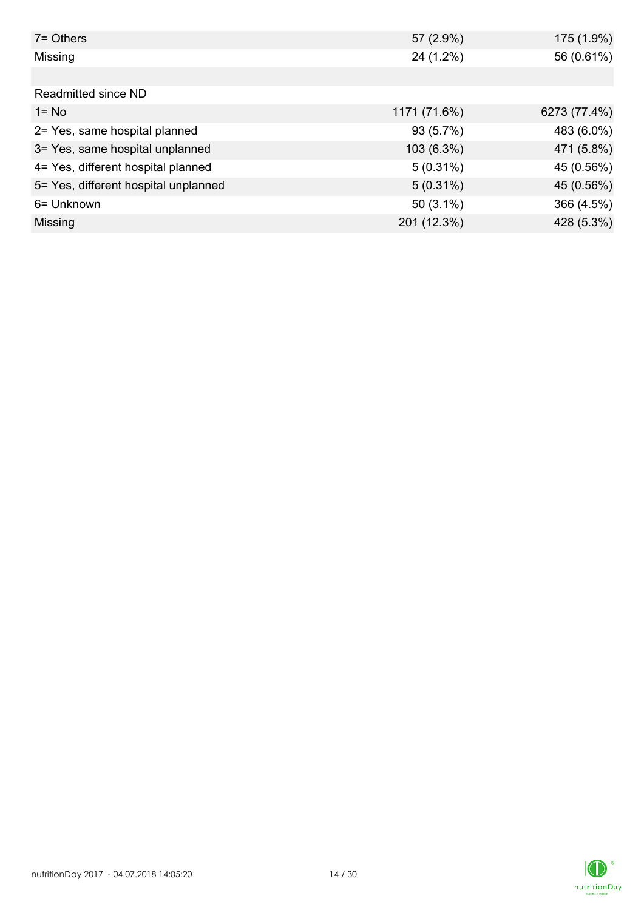| 7= Others                            | 57 (2.9%)    | 175 (1.9%)   |
|--------------------------------------|--------------|--------------|
| Missing                              | 24 (1.2%)    | 56 (0.61%)   |
|                                      |              |              |
| Readmitted since ND                  |              |              |
| $1 = No$                             | 1171 (71.6%) | 6273 (77.4%) |
| 2= Yes, same hospital planned        | 93 (5.7%)    | 483 (6.0%)   |
| 3= Yes, same hospital unplanned      | 103 (6.3%)   | 471 (5.8%)   |
| 4= Yes, different hospital planned   | $5(0.31\%)$  | 45 (0.56%)   |
| 5= Yes, different hospital unplanned | $5(0.31\%)$  | 45 (0.56%)   |
| 6= Unknown                           | $50(3.1\%)$  | 366 (4.5%)   |
| Missing                              | 201 (12.3%)  | 428 (5.3%)   |

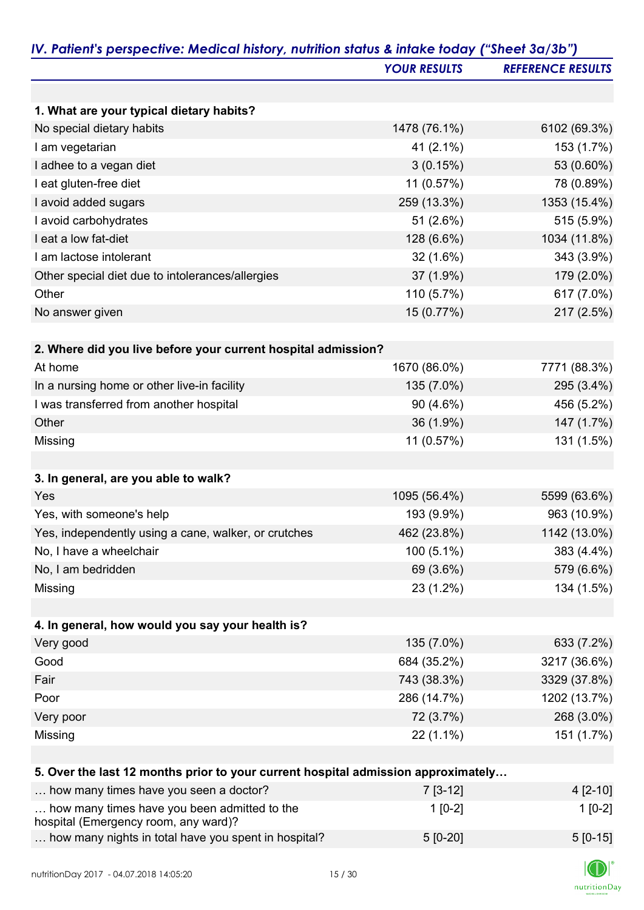|                                                                                      | <b>YOUR RESULTS</b> | <b>REFERENCE RESULTS</b> |
|--------------------------------------------------------------------------------------|---------------------|--------------------------|
|                                                                                      |                     |                          |
| 1. What are your typical dietary habits?                                             |                     |                          |
| No special dietary habits                                                            | 1478 (76.1%)        | 6102 (69.3%)             |
| I am vegetarian                                                                      | 41 (2.1%)           | 153 (1.7%)               |
| I adhee to a vegan diet                                                              | 3(0.15%)            | 53 (0.60%)               |
| I eat gluten-free diet                                                               | 11 (0.57%)          | 78 (0.89%)               |
| I avoid added sugars                                                                 | 259 (13.3%)         | 1353 (15.4%)             |
| I avoid carbohydrates                                                                | 51 (2.6%)           | 515 (5.9%)               |
| I eat a low fat-diet                                                                 | 128 (6.6%)          | 1034 (11.8%)             |
| I am lactose intolerant                                                              | $32(1.6\%)$         | 343 (3.9%)               |
| Other special diet due to intolerances/allergies                                     | 37 (1.9%)           | 179 (2.0%)               |
| Other                                                                                | 110 (5.7%)          | 617 (7.0%)               |
| No answer given                                                                      | 15 (0.77%)          | 217 (2.5%)               |
| 2. Where did you live before your current hospital admission?                        |                     |                          |
| At home                                                                              | 1670 (86.0%)        | 7771 (88.3%)             |
|                                                                                      |                     | 295 (3.4%)               |
| In a nursing home or other live-in facility                                          | 135 (7.0%)          |                          |
| I was transferred from another hospital<br>Other                                     | 90 (4.6%)           | 456 (5.2%)               |
|                                                                                      | 36 (1.9%)           | 147 (1.7%)               |
| Missing                                                                              | 11 (0.57%)          | 131 (1.5%)               |
| 3. In general, are you able to walk?                                                 |                     |                          |
| Yes                                                                                  | 1095 (56.4%)        | 5599 (63.6%)             |
| Yes, with someone's help                                                             | 193 (9.9%)          | 963 (10.9%)              |
| Yes, independently using a cane, walker, or crutches                                 | 462 (23.8%)         | 1142 (13.0%)             |
| No, I have a wheelchair                                                              | 100 (5.1%)          | 383 (4.4%)               |
| No, I am bedridden                                                                   | 69 (3.6%)           | 579 (6.6%)               |
| Missing                                                                              | 23 (1.2%)           | 134 (1.5%)               |
|                                                                                      |                     |                          |
| 4. In general, how would you say your health is?                                     |                     |                          |
| Very good                                                                            | 135 (7.0%)          | 633 (7.2%)               |
| Good                                                                                 | 684 (35.2%)         | 3217 (36.6%)             |
| Fair                                                                                 | 743 (38.3%)         | 3329 (37.8%)             |
| Poor                                                                                 | 286 (14.7%)         | 1202 (13.7%)             |
| Very poor                                                                            | 72 (3.7%)           | 268 (3.0%)               |
| Missing                                                                              | $22(1.1\%)$         | 151 (1.7%)               |
|                                                                                      |                     |                          |
| 5. Over the last 12 months prior to your current hospital admission approximately    |                     |                          |
| how many times have you seen a doctor?                                               | $7[3-12]$           | $4[2-10]$                |
| how many times have you been admitted to the<br>hospital (Emergency room, any ward)? | $1[0-2]$            | $1[0-2]$                 |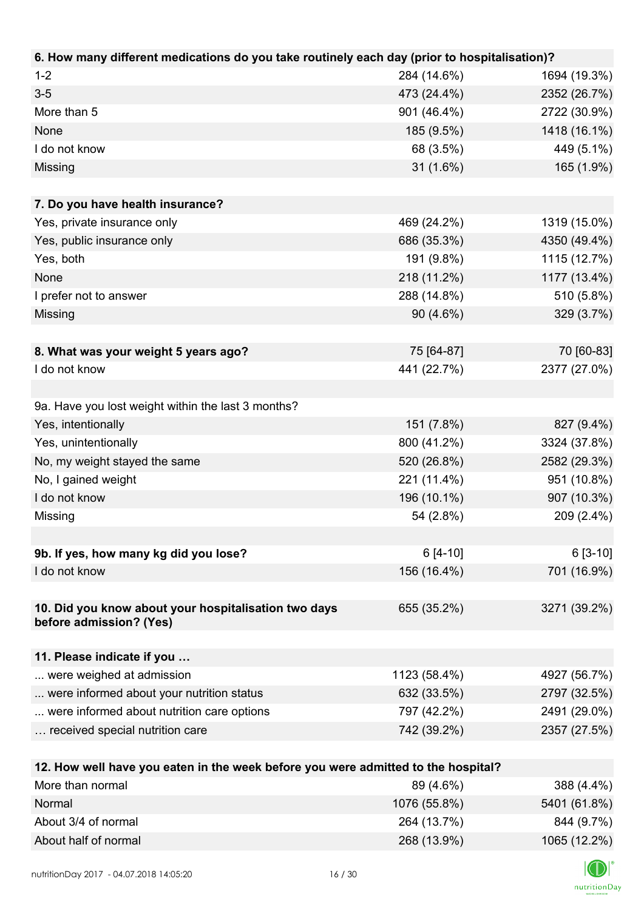| 6. How many different medications do you take routinely each day (prior to hospitalisation)? |              |              |
|----------------------------------------------------------------------------------------------|--------------|--------------|
| $1 - 2$                                                                                      | 284 (14.6%)  | 1694 (19.3%) |
| $3 - 5$                                                                                      | 473 (24.4%)  | 2352 (26.7%) |
| More than 5                                                                                  | 901 (46.4%)  | 2722 (30.9%) |
| None                                                                                         | 185 (9.5%)   | 1418 (16.1%) |
| I do not know                                                                                | 68 (3.5%)    | 449 (5.1%)   |
| Missing                                                                                      | $31(1.6\%)$  | 165 (1.9%)   |
|                                                                                              |              |              |
| 7. Do you have health insurance?                                                             |              |              |
| Yes, private insurance only                                                                  | 469 (24.2%)  | 1319 (15.0%) |
| Yes, public insurance only                                                                   | 686 (35.3%)  | 4350 (49.4%) |
| Yes, both                                                                                    | 191 (9.8%)   | 1115 (12.7%) |
| None                                                                                         | 218 (11.2%)  | 1177 (13.4%) |
| I prefer not to answer                                                                       | 288 (14.8%)  | 510 (5.8%)   |
| Missing                                                                                      | 90 (4.6%)    | 329 (3.7%)   |
|                                                                                              |              |              |
| 8. What was your weight 5 years ago?                                                         | 75 [64-87]   | 70 [60-83]   |
| I do not know                                                                                | 441 (22.7%)  | 2377 (27.0%) |
|                                                                                              |              |              |
| 9a. Have you lost weight within the last 3 months?                                           |              |              |
| Yes, intentionally                                                                           | 151 (7.8%)   | 827 (9.4%)   |
| Yes, unintentionally                                                                         | 800 (41.2%)  | 3324 (37.8%) |
| No, my weight stayed the same                                                                | 520 (26.8%)  | 2582 (29.3%) |
| No, I gained weight                                                                          | 221 (11.4%)  | 951 (10.8%)  |
| I do not know                                                                                | 196 (10.1%)  | 907 (10.3%)  |
| Missing                                                                                      | 54 (2.8%)    | 209 (2.4%)   |
|                                                                                              |              |              |
| 9b. If yes, how many kg did you lose?                                                        | $6[4-10]$    | $6[3-10]$    |
| I do not know                                                                                | 156 (16.4%)  | 701 (16.9%)  |
|                                                                                              |              |              |
| 10. Did you know about your hospitalisation two days<br>before admission? (Yes)              | 655 (35.2%)  | 3271 (39.2%) |
|                                                                                              |              |              |
| 11. Please indicate if you                                                                   |              |              |
| were weighed at admission                                                                    | 1123 (58.4%) | 4927 (56.7%) |
| were informed about your nutrition status                                                    | 632 (33.5%)  | 2797 (32.5%) |
| were informed about nutrition care options                                                   | 797 (42.2%)  | 2491 (29.0%) |
| received special nutrition care                                                              | 742 (39.2%)  | 2357 (27.5%) |
|                                                                                              |              |              |
| 12. How well have you eaten in the week before you were admitted to the hospital?            |              |              |
| More than normal                                                                             | 89 (4.6%)    | 388 (4.4%)   |

| $1$ ישורים כיוון וויסודו $\sigma$ | <b>UJ 17.U/U</b> | 000(7.70)    |
|-----------------------------------|------------------|--------------|
| Normal                            | 1076 (55.8%)     | 5401 (61.8%) |
| About 3/4 of normal               | 264 (13.7%)      | 844 (9.7%)   |
| About half of normal              | 268 (13.9%)      | 1065 (12.2%) |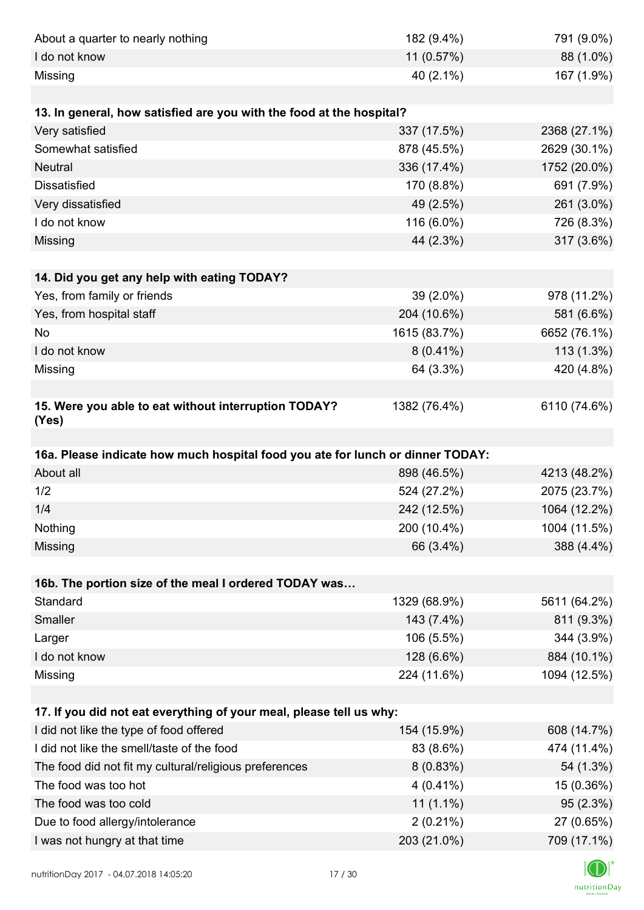| About a quarter to nearly nothing                                              | 182 (9.4%)                 | 791 (9.0%)                |
|--------------------------------------------------------------------------------|----------------------------|---------------------------|
| I do not know                                                                  | 11 (0.57%)                 | 88 (1.0%)                 |
| Missing                                                                        | 40 (2.1%)                  | 167 (1.9%)                |
|                                                                                |                            |                           |
| 13. In general, how satisfied are you with the food at the hospital?           |                            |                           |
| Very satisfied                                                                 | 337 (17.5%)                | 2368 (27.1%)              |
| Somewhat satisfied                                                             | 878 (45.5%)                | 2629 (30.1%)              |
| <b>Neutral</b>                                                                 | 336 (17.4%)                | 1752 (20.0%)              |
| <b>Dissatisfied</b>                                                            | 170 (8.8%)                 | 691 (7.9%)                |
| Very dissatisfied                                                              | 49 (2.5%)                  | 261 (3.0%)                |
| I do not know                                                                  | 116 (6.0%)                 | 726 (8.3%)                |
| Missing                                                                        | 44 (2.3%)                  | 317 (3.6%)                |
|                                                                                |                            |                           |
| 14. Did you get any help with eating TODAY?                                    |                            |                           |
| Yes, from family or friends                                                    | 39 (2.0%)                  | 978 (11.2%)               |
| Yes, from hospital staff                                                       | 204 (10.6%)                | 581 (6.6%)                |
| No                                                                             | 1615 (83.7%)               | 6652 (76.1%)              |
| I do not know                                                                  | $8(0.41\%)$                | 113 (1.3%)                |
| Missing                                                                        | 64 (3.3%)                  | 420 (4.8%)                |
|                                                                                |                            |                           |
| 15. Were you able to eat without interruption TODAY?<br>(Yes)                  | 1382 (76.4%)               | 6110 (74.6%)              |
|                                                                                |                            |                           |
|                                                                                |                            |                           |
| 16a. Please indicate how much hospital food you ate for lunch or dinner TODAY: |                            |                           |
| About all                                                                      | 898 (46.5%)                | 4213 (48.2%)              |
| 1/2                                                                            | 524 (27.2%)                | 2075 (23.7%)              |
| 1/4                                                                            | 242 (12.5%)                | 1064 (12.2%)              |
| Nothing                                                                        | 200 (10.4%)                | 1004 (11.5%)              |
| Missing                                                                        | 66 (3.4%)                  | 388 (4.4%)                |
|                                                                                |                            |                           |
| 16b. The portion size of the meal I ordered TODAY was                          |                            |                           |
| Standard                                                                       | 1329 (68.9%)               | 5611 (64.2%)              |
| Smaller                                                                        | 143 (7.4%)                 | 811 (9.3%)                |
| Larger                                                                         | 106 (5.5%)                 | 344 (3.9%)                |
| I do not know                                                                  | 128 (6.6%)                 | 884 (10.1%)               |
| Missing                                                                        | 224 (11.6%)                | 1094 (12.5%)              |
|                                                                                |                            |                           |
| 17. If you did not eat everything of your meal, please tell us why:            |                            |                           |
| I did not like the type of food offered                                        | 154 (15.9%)                | 608 (14.7%)               |
| I did not like the smell/taste of the food                                     | 83 (8.6%)                  | 474 (11.4%)               |
| The food did not fit my cultural/religious preferences                         | 8(0.83%)                   | 54 (1.3%)                 |
| The food was too hot                                                           | $4(0.41\%)$                | 15 (0.36%)                |
| The food was too cold                                                          | $11(1.1\%)$                | 95 (2.3%)                 |
| Due to food allergy/intolerance<br>I was not hungry at that time               | $2(0.21\%)$<br>203 (21.0%) | 27 (0.65%)<br>709 (17.1%) |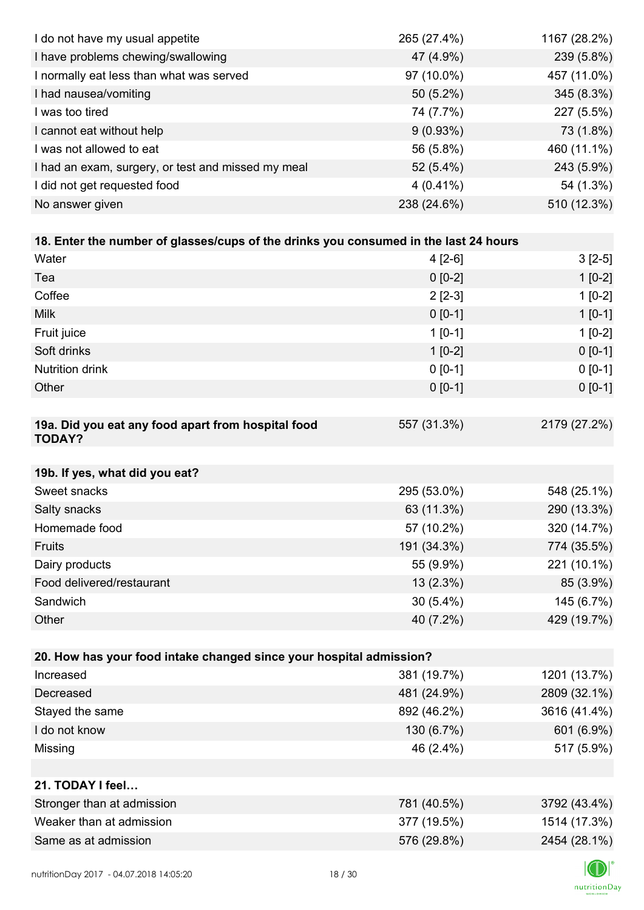| I do not have my usual appetite                                                      | 265 (27.4%) | 1167 (28.2%) |
|--------------------------------------------------------------------------------------|-------------|--------------|
| I have problems chewing/swallowing                                                   | 47 (4.9%)   | 239 (5.8%)   |
| I normally eat less than what was served                                             | 97 (10.0%)  | 457 (11.0%)  |
| I had nausea/vomiting                                                                | 50 (5.2%)   | 345 (8.3%)   |
| I was too tired                                                                      | 74 (7.7%)   | 227 (5.5%)   |
| I cannot eat without help                                                            | 9(0.93%)    | 73 (1.8%)    |
| I was not allowed to eat                                                             | 56 (5.8%)   | 460 (11.1%)  |
| I had an exam, surgery, or test and missed my meal                                   | 52 (5.4%)   | 243 (5.9%)   |
| I did not get requested food                                                         | $4(0.41\%)$ | 54 (1.3%)    |
| No answer given                                                                      | 238 (24.6%) | 510 (12.3%)  |
|                                                                                      |             |              |
| 18. Enter the number of glasses/cups of the drinks you consumed in the last 24 hours |             |              |
| Water                                                                                | $4[2-6]$    | $3[2-5]$     |
| Tea                                                                                  | $0 [0-2]$   | $1[0-2]$     |
| Coffee                                                                               | $2[2-3]$    | $1[0-2]$     |
| <b>Milk</b>                                                                          | $0 [0-1]$   | $1[0-1]$     |
| Fruit juice                                                                          | $1[0-1]$    | $1[0-2]$     |
| Soft drinks                                                                          | $1[0-2]$    | $0[0-1]$     |
| <b>Nutrition drink</b>                                                               | $0 [0-1]$   | $0 [0-1]$    |
| Other                                                                                | $0 [0-1]$   | $0 [0-1]$    |
|                                                                                      |             |              |
| 19a. Did you eat any food apart from hospital food<br><b>TODAY?</b>                  | 557 (31.3%) | 2179 (27.2%) |
| 19b. If yes, what did you eat?                                                       |             |              |
| Sweet snacks                                                                         | 295 (53.0%) | 548 (25.1%)  |
| Salty snacks                                                                         | 63 (11.3%)  | 290 (13.3%)  |
| Homemade food                                                                        | 57 (10.2%)  | 320 (14.7%)  |
| Fruits                                                                               | 191 (34.3%) | 774 (35.5%)  |
| Dairy products                                                                       | 55 (9.9%)   | 221 (10.1%)  |
| Food delivered/restaurant                                                            | $13(2.3\%)$ | 85 (3.9%)    |
| Sandwich                                                                             | $30(5.4\%)$ | 145 (6.7%)   |
| Other                                                                                | 40 (7.2%)   | 429 (19.7%)  |
|                                                                                      |             |              |
| 20. How has your food intake changed since your hospital admission?                  |             |              |
| Increased                                                                            | 381 (19.7%) | 1201 (13.7%) |
| Decreased                                                                            | 481 (24.9%) | 2809 (32.1%) |
| Stayed the same                                                                      | 892 (46.2%) | 3616 (41.4%) |
| I do not know                                                                        | 130 (6.7%)  | 601 (6.9%)   |
| Missing                                                                              | 46 (2.4%)   | 517 (5.9%)   |
|                                                                                      |             |              |
| 21. TODAY I feel                                                                     |             |              |
| Stronger than at admission                                                           | 781 (40.5%) | 3792 (43.4%) |
| Weaker than at admission                                                             | 377 (19.5%) | 1514 (17.3%) |
| Same as at admission                                                                 | 576 (29.8%) | 2454 (28.1%) |
|                                                                                      |             |              |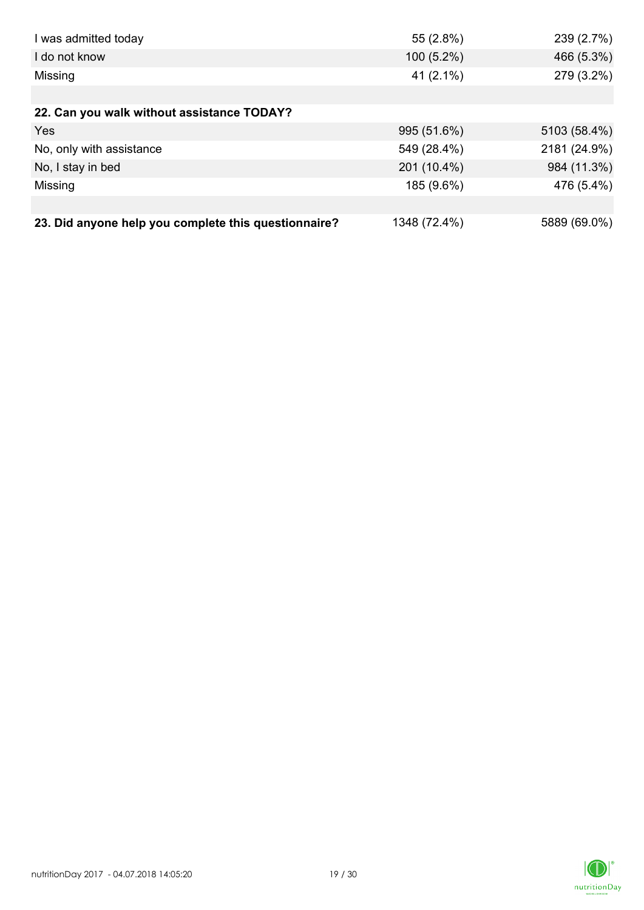| I was admitted today                                 | 55 (2.8%)    | 239 (2.7%)   |
|------------------------------------------------------|--------------|--------------|
| I do not know                                        | $100(5.2\%)$ | 466 (5.3%)   |
| Missing                                              | 41 $(2.1\%)$ | 279 (3.2%)   |
|                                                      |              |              |
| 22. Can you walk without assistance TODAY?           |              |              |
| <b>Yes</b>                                           | 995 (51.6%)  | 5103 (58.4%) |
| No, only with assistance                             | 549 (28.4%)  | 2181 (24.9%) |
| No, I stay in bed                                    | 201 (10.4%)  | 984 (11.3%)  |
| Missing                                              | 185 (9.6%)   | 476 (5.4%)   |
|                                                      |              |              |
| 23. Did anyone help you complete this questionnaire? | 1348 (72.4%) | 5889 (69.0%) |

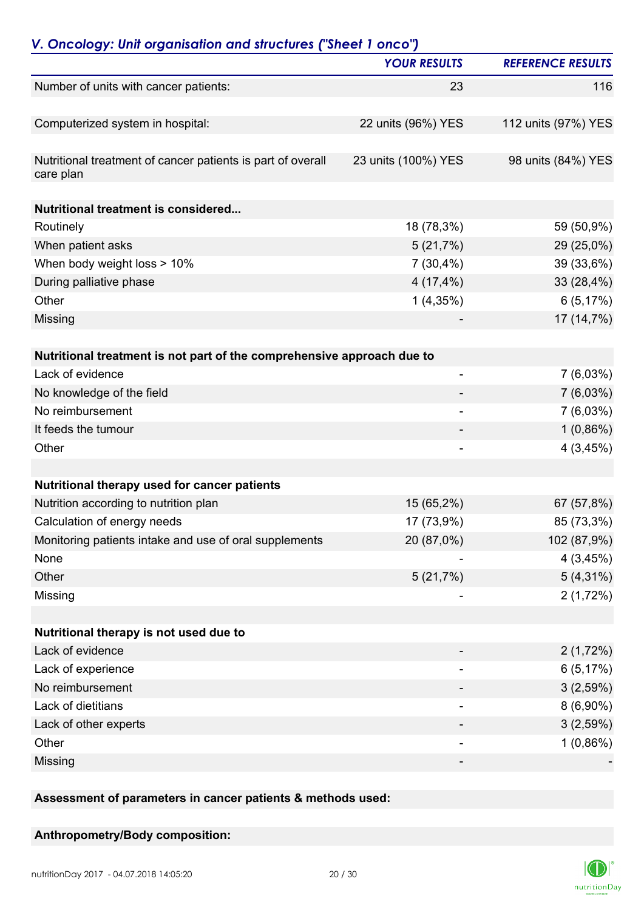| V. Oncology: Unit organisation and structures ("Sheet 1 onco")           | <b>YOUR RESULTS</b>      | <b>REFERENCE RESULTS</b> |
|--------------------------------------------------------------------------|--------------------------|--------------------------|
| Number of units with cancer patients:                                    | 23                       | 116                      |
|                                                                          |                          |                          |
| Computerized system in hospital:                                         | 22 units (96%) YES       | 112 units (97%) YES      |
| Nutritional treatment of cancer patients is part of overall<br>care plan | 23 units (100%) YES      | 98 units (84%) YES       |
| <b>Nutritional treatment is considered</b>                               |                          |                          |
| Routinely                                                                | 18 (78,3%)               | 59 (50,9%)               |
| When patient asks                                                        | 5(21,7%)                 | 29 (25,0%)               |
| When body weight loss > 10%                                              | 7(30,4%)                 | 39 (33,6%)               |
| During palliative phase                                                  | 4(17,4%)                 | 33 (28,4%)               |
| Other                                                                    | 1(4,35%)                 | 6(5,17%)                 |
| Missing                                                                  |                          | 17 (14,7%)               |
| Nutritional treatment is not part of the comprehensive approach due to   |                          |                          |
| Lack of evidence                                                         | ۰                        | $7(6,03\%)$              |
| No knowledge of the field                                                |                          | 7(6,03%)                 |
| No reimbursement                                                         | $\overline{\phantom{0}}$ | 7(6,03%)                 |
| It feeds the tumour                                                      |                          | $1(0,86\%)$              |
| Other                                                                    |                          | 4(3,45%)                 |
|                                                                          |                          |                          |
| Nutritional therapy used for cancer patients                             |                          |                          |
| Nutrition according to nutrition plan                                    | 15 (65,2%)               | 67 (57,8%)               |
| Calculation of energy needs                                              | 17 (73,9%)               | 85 (73,3%)               |
| Monitoring patients intake and use of oral supplements                   | 20 (87,0%)               | 102 (87,9%)              |
| None                                                                     |                          | 4(3,45%)                 |
| Other                                                                    | 5(21,7%)                 | $5(4,31\%)$              |
| Missing                                                                  |                          | 2(1,72%)                 |
| Nutritional therapy is not used due to                                   |                          |                          |
| Lack of evidence                                                         |                          | 2(1,72%)                 |
| Lack of experience                                                       |                          | 6(5,17%)                 |
| No reimbursement                                                         |                          | 3(2,59%)                 |
| Lack of dietitians                                                       |                          | $8(6,90\%)$              |
| Lack of other experts                                                    |                          | 3(2,59%)                 |
| Other                                                                    | -                        | $1(0,86\%)$              |
| Missing                                                                  |                          |                          |
|                                                                          |                          |                          |

**Assessment of parameters in cancer patients & methods used:**

**Anthropometry/Body composition:**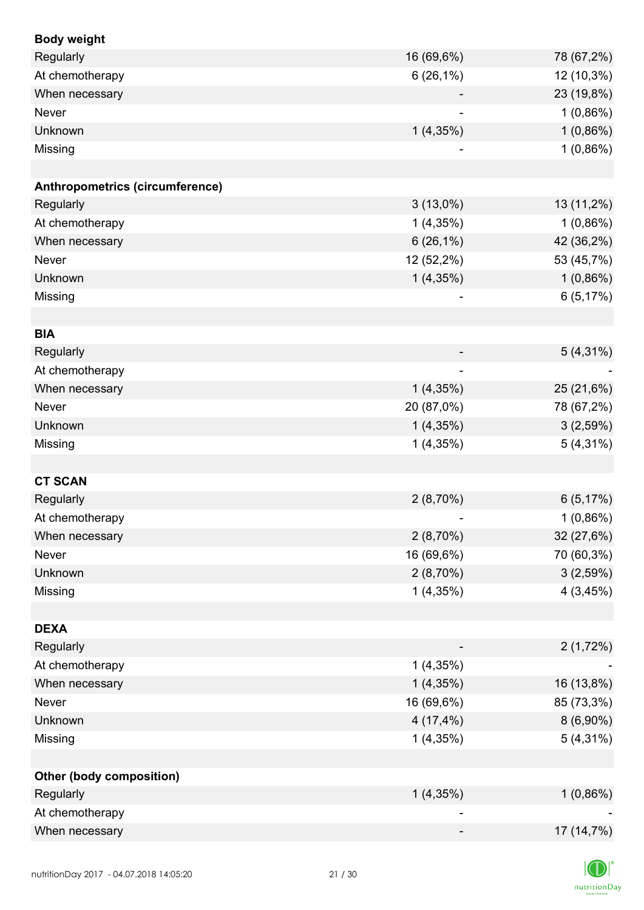| <b>Body weight</b>              |                              |             |
|---------------------------------|------------------------------|-------------|
| Regularly                       | 16 (69,6%)                   | 78 (67,2%)  |
| At chemotherapy                 | 6(26,1%)                     | 12 (10,3%)  |
| When necessary                  |                              | 23 (19,8%)  |
| Never                           |                              | $1(0,86\%)$ |
| Unknown                         | 1(4,35%)                     | $1(0,86\%)$ |
| Missing                         |                              | $1(0,86\%)$ |
|                                 |                              |             |
| Anthropometrics (circumference) |                              |             |
| Regularly                       | $3(13,0\%)$                  | 13 (11,2%)  |
| At chemotherapy                 | 1(4,35%)                     | $1(0,86\%)$ |
| When necessary                  | $6(26,1\%)$                  | 42 (36,2%)  |
| Never                           | 12 (52,2%)                   | 53 (45,7%)  |
| Unknown                         | 1(4,35%)                     | $1(0,86\%)$ |
| Missing                         | $\qquad \qquad \blacksquare$ | 6(5,17%)    |
|                                 |                              |             |
| <b>BIA</b>                      |                              |             |
| Regularly                       |                              | $5(4,31\%)$ |
| At chemotherapy                 |                              |             |
| When necessary                  | 1(4,35%)                     | 25 (21,6%)  |
| <b>Never</b>                    | 20 (87,0%)                   | 78 (67,2%)  |
| Unknown                         | 1(4,35%)                     | 3(2,59%)    |
| Missing                         | 1(4,35%)                     | $5(4,31\%)$ |
|                                 |                              |             |
| <b>CT SCAN</b>                  |                              |             |
| Regularly                       | 2(8,70%)                     | 6(5,17%)    |
| At chemotherapy                 |                              | $1(0,86\%)$ |
| When necessary                  | 2(8,70%)                     | 32 (27,6%)  |
| Never                           | 16 (69,6%)                   | 70 (60,3%)  |
| Unknown                         | $2(8,70\%)$                  | 3(2,59%)    |
| Missing                         | 1(4,35%)                     | 4(3,45%)    |
|                                 |                              |             |
| <b>DEXA</b>                     |                              |             |
| Regularly                       |                              | 2(1,72%)    |
| At chemotherapy                 | 1(4,35%)                     |             |
| When necessary                  | 1(4,35%)                     | 16 (13,8%)  |
| Never                           | 16 (69,6%)                   | 85 (73,3%)  |
| Unknown                         | 4(17,4%)                     | $8(6,90\%)$ |
| Missing                         | 1(4,35%)                     | $5(4,31\%)$ |
|                                 |                              |             |
| <b>Other (body composition)</b> |                              |             |
| Regularly                       | 1(4,35%)                     | $1(0,86\%)$ |
| At chemotherapy                 |                              |             |
| When necessary                  |                              | 17 (14,7%)  |
|                                 |                              |             |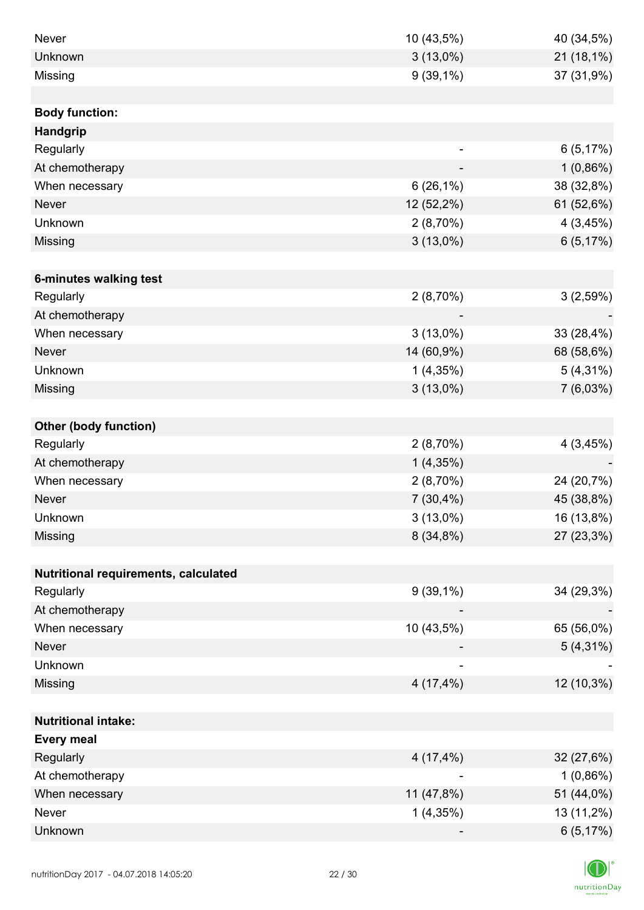| <b>Never</b>                         | 10 (43,5%)  | 40 (34,5%)  |
|--------------------------------------|-------------|-------------|
| Unknown                              | $3(13,0\%)$ | 21 (18,1%)  |
| Missing                              | $9(39,1\%)$ | 37 (31,9%)  |
|                                      |             |             |
| <b>Body function:</b>                |             |             |
| <b>Handgrip</b>                      |             |             |
| Regularly                            |             | 6(5,17%)    |
| At chemotherapy                      |             | $1(0,86\%)$ |
| When necessary                       | $6(26,1\%)$ | 38 (32,8%)  |
| <b>Never</b>                         | 12 (52,2%)  | 61 (52,6%)  |
| Unknown                              | 2(8,70%)    | 4(3,45%)    |
| Missing                              | $3(13,0\%)$ | 6(5,17%)    |
|                                      |             |             |
| 6-minutes walking test               |             |             |
| Regularly                            | 2(8,70%)    | 3(2,59%)    |
| At chemotherapy                      |             |             |
| When necessary                       | $3(13,0\%)$ | 33 (28,4%)  |
| <b>Never</b>                         | 14 (60,9%)  | 68 (58,6%)  |
| Unknown                              | 1(4,35%)    | $5(4,31\%)$ |
| Missing                              | $3(13,0\%)$ | 7(6,03%)    |
|                                      |             |             |
| <b>Other (body function)</b>         |             |             |
| Regularly                            | 2(8,70%)    | 4(3,45%)    |
| At chemotherapy                      | 1(4,35%)    |             |
| When necessary                       | $2(8,70\%)$ | 24 (20,7%)  |
| <b>Never</b>                         | $7(30,4\%)$ | 45 (38,8%)  |
| Unknown                              | $3(13,0\%)$ | 16 (13,8%)  |
| Missing                              | 8(34,8%)    | 27 (23,3%)  |
|                                      |             |             |
| Nutritional requirements, calculated |             |             |
| Regularly                            | $9(39,1\%)$ | 34 (29,3%)  |
| At chemotherapy                      |             |             |
| When necessary                       | 10 (43,5%)  | 65 (56,0%)  |
| <b>Never</b>                         |             | $5(4,31\%)$ |
| Unknown                              |             |             |
| Missing                              | 4(17,4%)    | 12 (10,3%)  |
|                                      |             |             |
| <b>Nutritional intake:</b>           |             |             |
| <b>Every meal</b>                    |             |             |
| Regularly                            | 4(17,4%)    | 32 (27,6%)  |
| At chemotherapy                      |             | $1(0,86\%)$ |
| When necessary                       | 11 (47,8%)  | 51 (44,0%)  |
| Never                                | 1(4,35%)    | 13 (11,2%)  |
| Unknown                              |             | 6(5,17%)    |

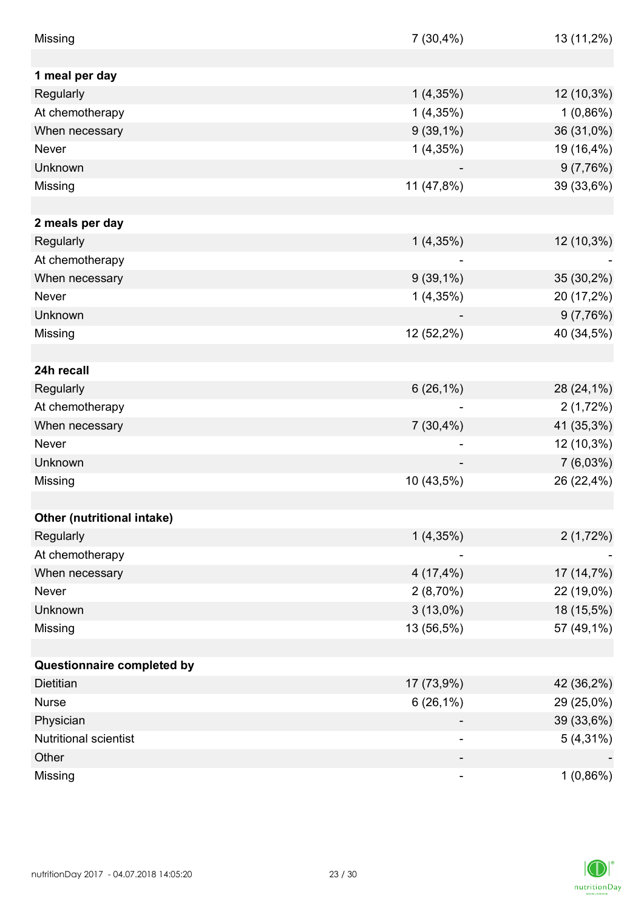| Missing                    | $7(30,4\%)$                  | 13 (11,2%)  |
|----------------------------|------------------------------|-------------|
|                            |                              |             |
| 1 meal per day             |                              |             |
| Regularly                  | 1(4,35%)                     | 12 (10,3%)  |
| At chemotherapy            | 1(4,35%)                     | 1(0,86%)    |
| When necessary             | $9(39,1\%)$                  | 36 (31,0%)  |
| Never                      | 1(4,35%)                     | 19 (16,4%)  |
| Unknown                    |                              | 9(7,76%)    |
| Missing                    | 11 (47,8%)                   | 39 (33,6%)  |
|                            |                              |             |
| 2 meals per day            |                              |             |
| Regularly                  | 1(4,35%)                     | 12 (10,3%)  |
| At chemotherapy            | $\qquad \qquad \blacksquare$ |             |
| When necessary             | $9(39,1\%)$                  | 35 (30,2%)  |
| Never                      | $1(4,35\%)$                  | 20 (17,2%)  |
| Unknown                    |                              | 9(7,76%)    |
| Missing                    | 12 (52,2%)                   | 40 (34,5%)  |
|                            |                              |             |
| 24h recall                 |                              |             |
| Regularly                  | $6(26,1\%)$                  | 28 (24,1%)  |
| At chemotherapy            |                              | 2(1,72%)    |
| When necessary             | $7(30,4\%)$                  | 41 (35,3%)  |
| <b>Never</b>               |                              | 12 (10,3%)  |
| Unknown                    |                              | 7 (6,03%)   |
| Missing                    | 10 (43,5%)                   | 26 (22,4%)  |
|                            |                              |             |
| Other (nutritional intake) |                              |             |
| Regularly                  | 1(4,35%)                     | 2(1,72%)    |
| At chemotherapy            |                              |             |
| When necessary             | $4(17, 4\%)$                 | 17 (14,7%)  |
| Never                      | $2(8,70\%)$                  | 22 (19,0%)  |
| Unknown                    | $3(13,0\%)$                  | 18 (15,5%)  |
| Missing                    | 13 (56,5%)                   | 57 (49,1%)  |
|                            |                              |             |
| Questionnaire completed by |                              |             |
| <b>Dietitian</b>           | 17 (73,9%)                   | 42 (36,2%)  |
| <b>Nurse</b>               | $6(26,1\%)$                  | 29 (25,0%)  |
| Physician                  |                              | 39 (33,6%)  |
| Nutritional scientist      | -                            | $5(4,31\%)$ |
| Other                      |                              |             |
| Missing                    |                              | 1(0,86%)    |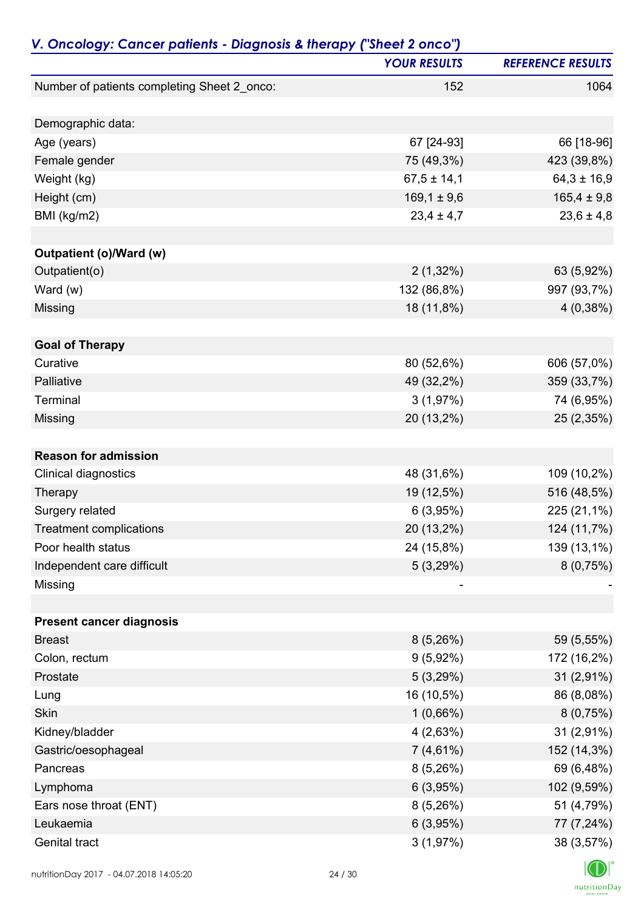| V. Oncology: Cancer patients - Diagnosis & therapy ("Sheet 2 onco") |                     |                          |
|---------------------------------------------------------------------|---------------------|--------------------------|
|                                                                     | <b>YOUR RESULTS</b> | <b>REFERENCE RESULTS</b> |
| Number of patients completing Sheet 2_onco:                         | 152                 | 1064                     |
| Demographic data:                                                   |                     |                          |
| Age (years)                                                         | 67 [24-93]          | 66 [18-96]               |
| Female gender                                                       | 75 (49,3%)          | 423 (39,8%)              |
| Weight (kg)                                                         | $67,5 \pm 14,1$     | $64,3 \pm 16,9$          |
| Height (cm)                                                         | $169,1 \pm 9,6$     | $165,4 \pm 9,8$          |
| BMI (kg/m2)                                                         | $23,4 \pm 4,7$      | $23,6 \pm 4,8$           |
| Outpatient (o)/Ward (w)                                             |                     |                          |
| Outpatient(o)                                                       | $2(1,32\%)$         | 63 (5,92%)               |
| Ward $(w)$                                                          | 132 (86,8%)         | 997 (93,7%)              |
| Missing                                                             | 18 (11,8%)          | 4(0,38%)                 |
|                                                                     |                     |                          |
| <b>Goal of Therapy</b>                                              |                     |                          |
| Curative<br>Palliative                                              | 80 (52,6%)          | 606 (57,0%)              |
| Terminal                                                            | 49 (32,2%)          | 359 (33,7%)              |
|                                                                     | 3(1,97%)            | 74 (6,95%)               |
| Missing                                                             | 20 (13,2%)          | 25 (2,35%)               |
| <b>Reason for admission</b>                                         |                     |                          |
| Clinical diagnostics                                                | 48 (31,6%)          | 109 (10,2%)              |
| Therapy                                                             | 19 (12,5%)          | 516 (48,5%)              |
| Surgery related                                                     | 6(3,95%)            | 225 (21,1%)              |
| <b>Treatment complications</b>                                      | 20 (13,2%)          | 124 (11,7%)              |
| Poor health status                                                  | 24 (15,8%)          | 139 (13,1%)              |
| Independent care difficult                                          | 5(3,29%)            | 8(0,75%)                 |
| Missing                                                             |                     |                          |
| <b>Present cancer diagnosis</b>                                     |                     |                          |
| <b>Breast</b>                                                       | 8(5,26%)            | 59 (5,55%)               |
| Colon, rectum                                                       | $9(5,92\%)$         | 172 (16,2%)              |
| Prostate                                                            | 5(3,29%)            | $31(2,91\%)$             |
| Lung                                                                | 16 (10,5%)          | 86 (8,08%)               |
| Skin                                                                | $1(0,66\%)$         | 8(0,75%)                 |
| Kidney/bladder                                                      | 4(2,63%)            | 31 (2,91%)               |
| Gastric/oesophageal                                                 | $7(4,61\%)$         | 152 (14,3%)              |
| Pancreas                                                            | 8(5,26%)            | 69 (6,48%)               |
| Lymphoma                                                            | 6(3,95%)            | 102 (9,59%)              |
| Ears nose throat (ENT)                                              | 8(5,26%)            | 51 (4,79%)               |
| Leukaemia                                                           | 6(3,95%)            | 77 (7,24%)               |
| Genital tract                                                       | 3(1,97%)            | 38 (3,57%)               |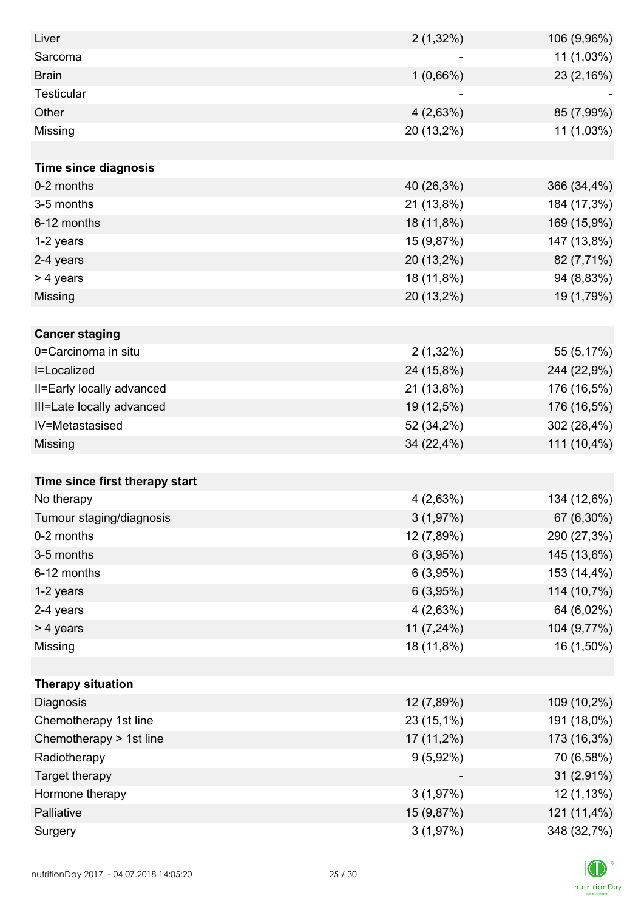| Liver                          | $2(1,32\%)$ | 106 (9,96%) |
|--------------------------------|-------------|-------------|
| Sarcoma                        |             | 11 (1,03%)  |
| <b>Brain</b>                   | 1(0,66%)    | 23 (2,16%)  |
| <b>Testicular</b>              |             |             |
| Other                          | 4(2,63%)    | 85 (7,99%)  |
| Missing                        | 20 (13,2%)  | 11 (1,03%)  |
|                                |             |             |
| <b>Time since diagnosis</b>    |             |             |
| 0-2 months                     | 40 (26,3%)  | 366 (34,4%) |
| 3-5 months                     | 21 (13,8%)  | 184 (17,3%) |
| 6-12 months                    | 18 (11,8%)  | 169 (15,9%) |
| 1-2 years                      | 15 (9,87%)  | 147 (13,8%) |
| 2-4 years                      | 20 (13,2%)  | 82 (7,71%)  |
| > 4 years                      | 18 (11,8%)  | 94 (8,83%)  |
| Missing                        | 20 (13,2%)  | 19 (1,79%)  |
|                                |             |             |
| <b>Cancer staging</b>          |             |             |
| 0=Carcinoma in situ            | $2(1,32\%)$ | 55 (5,17%)  |
| I=Localized                    | 24 (15,8%)  | 244 (22,9%) |
| II=Early locally advanced      | 21 (13,8%)  | 176 (16,5%) |
| III=Late locally advanced      | 19 (12,5%)  | 176 (16,5%) |
| IV=Metastasised                | 52 (34,2%)  | 302 (28,4%) |
| Missing                        | 34 (22,4%)  | 111 (10,4%) |
|                                |             |             |
| Time since first therapy start |             |             |
| No therapy                     | 4(2,63%)    | 134 (12,6%) |
| Tumour staging/diagnosis       | 3(1,97%)    | 67 (6,30%)  |
| 0-2 months                     | 12 (7,89%)  | 290 (27,3%) |
| 3-5 months                     | 6(3,95%)    | 145 (13,6%) |
| 6-12 months                    | 6(3,95%)    | 153 (14,4%) |
| 1-2 years                      | 6(3,95%)    | 114 (10,7%) |
| 2-4 years                      | 4(2,63%)    | 64 (6,02%)  |
| > 4 years                      | 11 (7,24%)  | 104 (9,77%) |
| Missing                        | 18 (11,8%)  | 16 (1,50%)  |
|                                |             |             |
| <b>Therapy situation</b>       |             |             |
| Diagnosis                      | 12 (7,89%)  | 109 (10,2%) |
| Chemotherapy 1st line          | 23 (15,1%)  | 191 (18,0%) |
| Chemotherapy > 1st line        | 17 (11,2%)  | 173 (16,3%) |
| Radiotherapy                   | $9(5,92\%)$ | 70 (6,58%)  |
| Target therapy                 |             | 31 (2,91%)  |
| Hormone therapy                | 3(1,97%)    | 12 (1,13%)  |
| Palliative                     | 15 (9,87%)  | 121 (11,4%) |
| Surgery                        | 3(1,97%)    | 348 (32,7%) |

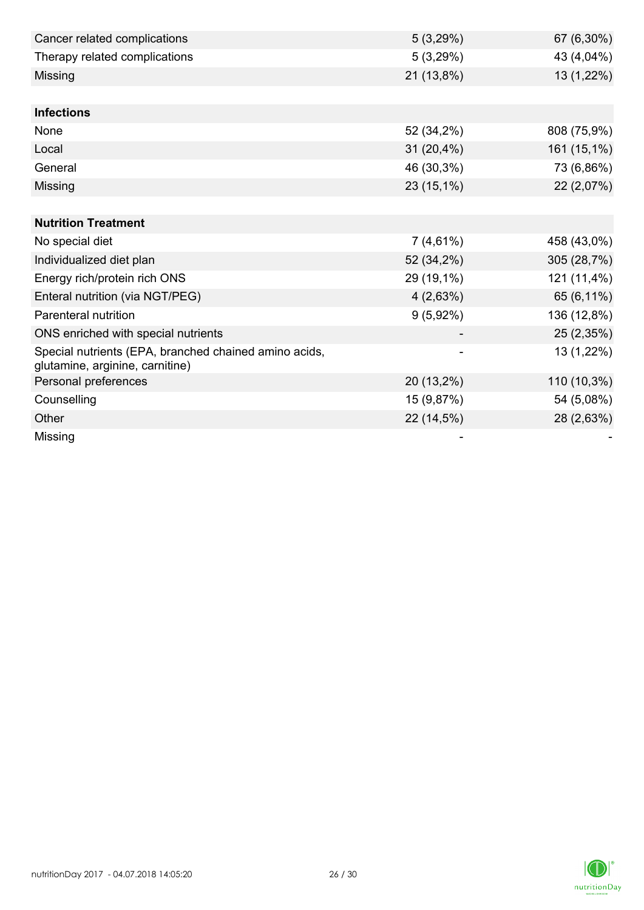| Cancer related complications                                                             | 5(3,29%)    | 67 (6,30%)  |
|------------------------------------------------------------------------------------------|-------------|-------------|
| Therapy related complications                                                            | 5(3,29%)    | 43 (4,04%)  |
| Missing                                                                                  | 21 (13,8%)  | 13 (1,22%)  |
|                                                                                          |             |             |
| <b>Infections</b>                                                                        |             |             |
| None                                                                                     | 52 (34,2%)  | 808 (75,9%) |
| Local                                                                                    | 31 (20,4%)  | 161 (15,1%) |
| General                                                                                  | 46 (30,3%)  | 73 (6,86%)  |
| Missing                                                                                  | 23 (15,1%)  | 22 (2,07%)  |
|                                                                                          |             |             |
| <b>Nutrition Treatment</b>                                                               |             |             |
| No special diet                                                                          | $7(4,61\%)$ | 458 (43,0%) |
| Individualized diet plan                                                                 | 52 (34,2%)  | 305 (28,7%) |
| Energy rich/protein rich ONS                                                             | 29 (19,1%)  | 121 (11,4%) |
| Enteral nutrition (via NGT/PEG)                                                          | 4(2,63%)    | 65 (6,11%)  |
| Parenteral nutrition                                                                     | 9(5,92%)    | 136 (12,8%) |
| ONS enriched with special nutrients                                                      |             | 25 (2,35%)  |
| Special nutrients (EPA, branched chained amino acids,<br>glutamine, arginine, carnitine) |             | 13 (1,22%)  |
| Personal preferences                                                                     | 20 (13,2%)  | 110 (10,3%) |
| Counselling                                                                              | 15 (9,87%)  | 54 (5,08%)  |
| Other                                                                                    | 22 (14,5%)  | 28 (2,63%)  |
| Missing                                                                                  |             |             |

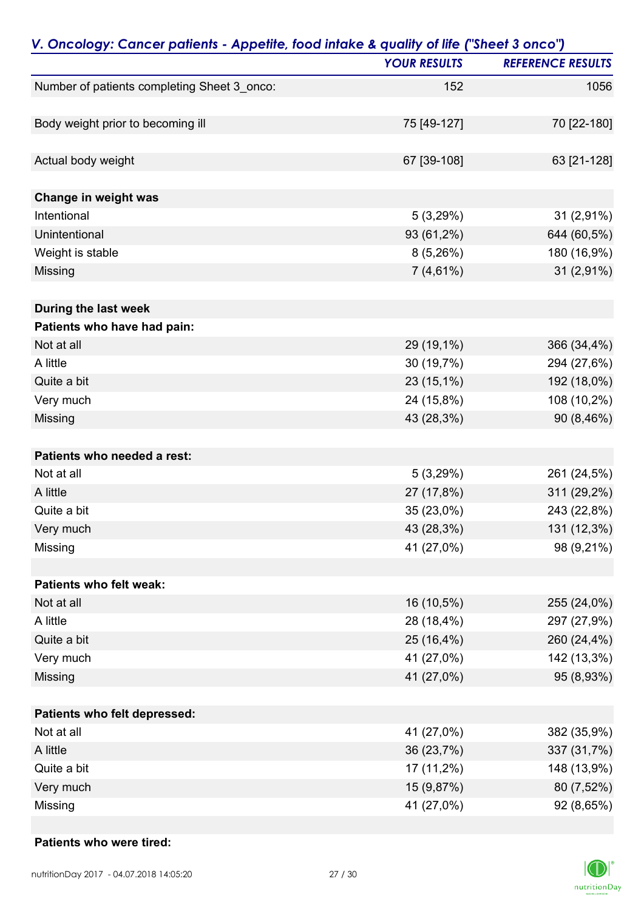| V. Oncology: Cancer patients - Appetite, food intake & quality of life ("Sheet 3 onco") |                     |                          |
|-----------------------------------------------------------------------------------------|---------------------|--------------------------|
|                                                                                         | <b>YOUR RESULTS</b> | <b>REFERENCE RESULTS</b> |
| Number of patients completing Sheet 3_onco:                                             | 152                 | 1056                     |
|                                                                                         |                     |                          |
| Body weight prior to becoming ill                                                       | 75 [49-127]         | 70 [22-180]              |
| Actual body weight                                                                      | 67 [39-108]         | 63 [21-128]              |
| Change in weight was                                                                    |                     |                          |
| Intentional                                                                             | 5(3,29%)            | 31 (2,91%)               |
| Unintentional                                                                           | 93 (61,2%)          | 644 (60,5%)              |
| Weight is stable                                                                        | 8(5,26%)            | 180 (16,9%)              |
| Missing                                                                                 | $7(4,61\%)$         | 31 (2,91%)               |
| During the last week                                                                    |                     |                          |
| Patients who have had pain:                                                             |                     |                          |
| Not at all                                                                              | 29 (19,1%)          | 366 (34,4%)              |
| A little                                                                                | 30 (19,7%)          | 294 (27,6%)              |
| Quite a bit                                                                             | 23 (15,1%)          | 192 (18,0%)              |
| Very much                                                                               | 24 (15,8%)          | 108 (10,2%)              |
| Missing                                                                                 | 43 (28,3%)          | 90 (8,46%)               |
| Patients who needed a rest:                                                             |                     |                          |
| Not at all                                                                              | 5(3,29%)            | 261 (24,5%)              |
| A little                                                                                | 27 (17,8%)          | 311 (29,2%)              |
| Quite a bit                                                                             | 35 (23,0%)          | 243 (22,8%)              |
| Very much                                                                               | 43 (28,3%)          | 131 (12,3%)              |
| Missing                                                                                 | 41 (27,0%)          | 98 (9,21%)               |
|                                                                                         |                     |                          |
| Patients who felt weak:                                                                 |                     |                          |
| Not at all                                                                              | 16 (10,5%)          | 255 (24,0%)              |
| A little                                                                                | 28 (18,4%)          | 297 (27,9%)              |
| Quite a bit                                                                             | 25 (16,4%)          | 260 (24,4%)              |
| Very much                                                                               | 41 (27,0%)          | 142 (13,3%)              |
| Missing                                                                                 | 41 (27,0%)          | 95 (8,93%)               |
| Patients who felt depressed:                                                            |                     |                          |
| Not at all                                                                              | 41 (27,0%)          | 382 (35,9%)              |
| A little                                                                                | 36 (23,7%)          | 337 (31,7%)              |
| Quite a bit                                                                             | 17 (11,2%)          | 148 (13,9%)              |
| Very much                                                                               | 15 (9,87%)          | 80 (7,52%)               |
| Missing                                                                                 | 41 (27,0%)          | 92 (8,65%)               |

#### **Patients who were tired:**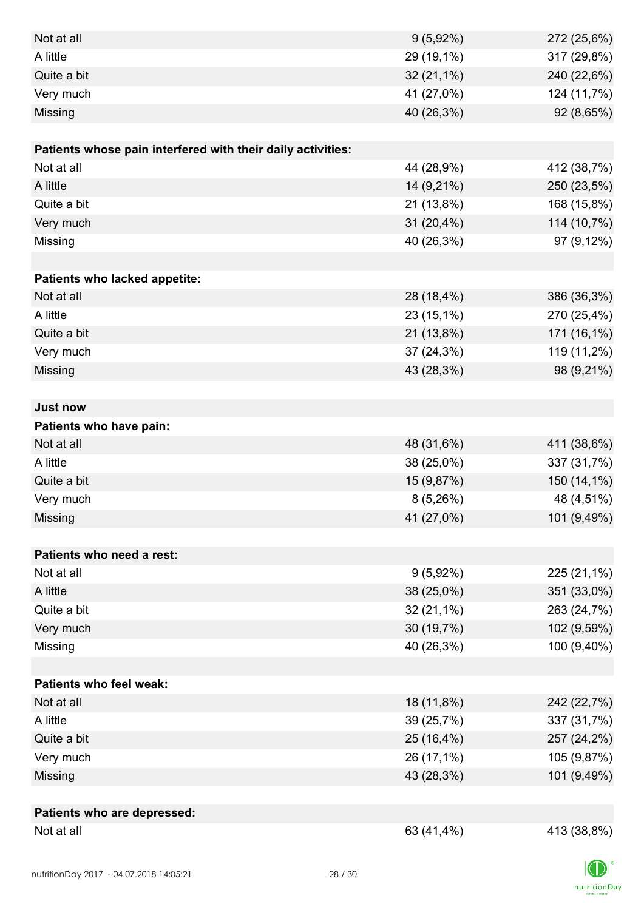| Not at all                                                  | $9(5,92\%)$  | 272 (25,6%) |
|-------------------------------------------------------------|--------------|-------------|
| A little                                                    | 29 (19,1%)   | 317 (29,8%) |
| Quite a bit                                                 | $32(21,1\%)$ | 240 (22,6%) |
| Very much                                                   | 41 (27,0%)   | 124 (11,7%) |
| Missing                                                     | 40 (26,3%)   | 92 (8,65%)  |
|                                                             |              |             |
| Patients whose pain interfered with their daily activities: |              |             |
| Not at all                                                  | 44 (28,9%)   | 412 (38,7%) |
| A little                                                    | 14 (9,21%)   | 250 (23,5%) |
| Quite a bit                                                 | 21 (13,8%)   | 168 (15,8%) |
| Very much                                                   | 31 (20,4%)   | 114 (10,7%) |
| Missing                                                     | 40 (26,3%)   | 97 (9,12%)  |
|                                                             |              |             |
| Patients who lacked appetite:                               |              |             |
| Not at all                                                  | 28 (18,4%)   | 386 (36,3%) |
| A little                                                    | 23 (15,1%)   | 270 (25,4%) |
| Quite a bit                                                 | 21 (13,8%)   | 171 (16,1%) |
| Very much                                                   | 37 (24,3%)   | 119 (11,2%) |
| Missing                                                     | 43 (28,3%)   | 98 (9,21%)  |
|                                                             |              |             |
| <b>Just now</b>                                             |              |             |
| Patients who have pain:                                     |              |             |
| Not at all                                                  | 48 (31,6%)   | 411 (38,6%) |
| A little                                                    | 38 (25,0%)   | 337 (31,7%) |
| Quite a bit                                                 | 15 (9,87%)   | 150 (14,1%) |
| Very much                                                   | 8(5,26%)     | 48 (4,51%)  |
| Missing                                                     | 41 (27,0%)   | 101 (9,49%) |
|                                                             |              |             |
| Patients who need a rest:                                   |              |             |
| Not at all                                                  | $9(5,92\%)$  | 225 (21,1%) |
| A little                                                    | 38 (25,0%)   | 351 (33,0%) |
| Quite a bit                                                 | $32(21,1\%)$ | 263 (24,7%) |
| Very much                                                   | 30 (19,7%)   | 102 (9,59%) |
| Missing                                                     | 40 (26,3%)   | 100 (9,40%) |
|                                                             |              |             |
| <b>Patients who feel weak:</b>                              |              |             |
| Not at all                                                  | 18 (11,8%)   | 242 (22,7%) |
| A little                                                    | 39 (25,7%)   | 337 (31,7%) |
| Quite a bit                                                 | 25 (16,4%)   | 257 (24,2%) |
| Very much                                                   | 26 (17,1%)   | 105 (9,87%) |
| Missing                                                     | 43 (28,3%)   | 101 (9,49%) |
|                                                             |              |             |
| Patients who are depressed:                                 |              |             |
| Not at all                                                  | 63 (41,4%)   | 413 (38,8%) |

 $nutri   
tion Day$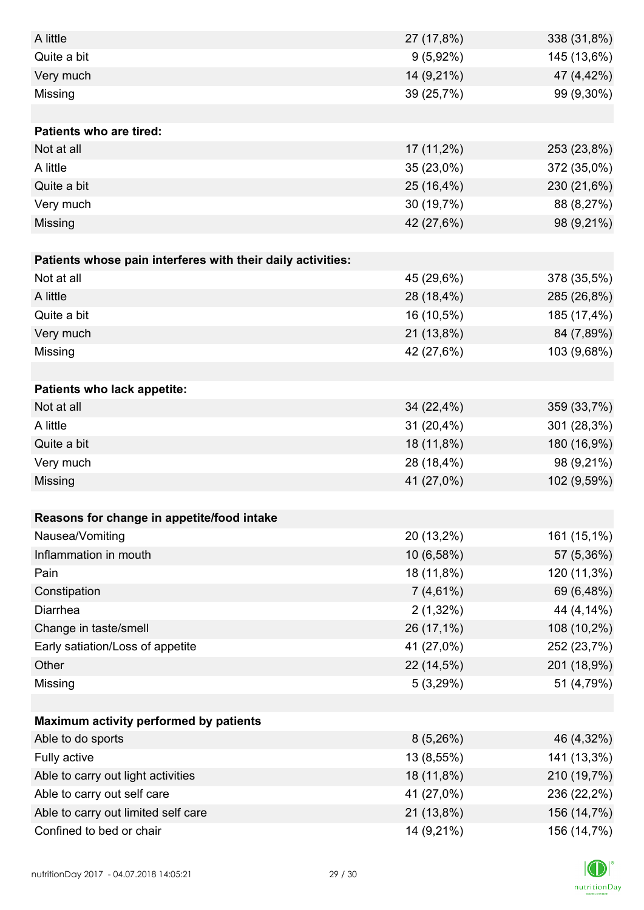| A little                                                    | 27 (17,8%)  | 338 (31,8%) |
|-------------------------------------------------------------|-------------|-------------|
| Quite a bit                                                 | $9(5,92\%)$ | 145 (13,6%) |
| Very much                                                   | 14 (9,21%)  | 47 (4,42%)  |
| Missing                                                     | 39 (25,7%)  | 99 (9,30%)  |
|                                                             |             |             |
| <b>Patients who are tired:</b>                              |             |             |
| Not at all                                                  | 17 (11,2%)  | 253 (23,8%) |
| A little                                                    | 35 (23,0%)  | 372 (35,0%) |
| Quite a bit                                                 | 25 (16,4%)  | 230 (21,6%) |
| Very much                                                   | 30 (19,7%)  | 88 (8,27%)  |
| Missing                                                     | 42 (27,6%)  | 98 (9,21%)  |
|                                                             |             |             |
| Patients whose pain interferes with their daily activities: |             |             |
| Not at all                                                  | 45 (29,6%)  | 378 (35,5%) |
| A little                                                    | 28 (18,4%)  | 285 (26,8%) |
| Quite a bit                                                 | 16 (10,5%)  | 185 (17,4%) |
| Very much                                                   | 21 (13,8%)  | 84 (7,89%)  |
| Missing                                                     | 42 (27,6%)  | 103 (9,68%) |
|                                                             |             |             |
| Patients who lack appetite:                                 |             |             |
| Not at all                                                  | 34 (22,4%)  | 359 (33,7%) |
| A little                                                    | 31 (20,4%)  | 301 (28,3%) |
| Quite a bit                                                 | 18 (11,8%)  | 180 (16,9%) |
| Very much                                                   | 28 (18,4%)  | 98 (9,21%)  |
| Missing                                                     | 41 (27,0%)  | 102 (9,59%) |
|                                                             |             |             |
| Reasons for change in appetite/food intake                  |             |             |
| Nausea/Vomiting                                             | 20 (13,2%)  | 161 (15,1%) |
| Inflammation in mouth                                       | 10 (6,58%)  | 57 (5,36%)  |
| Pain                                                        | 18 (11,8%)  | 120 (11,3%) |
| Constipation                                                | $7(4,61\%)$ | 69 (6,48%)  |
| Diarrhea                                                    | $2(1,32\%)$ | 44 (4,14%)  |
| Change in taste/smell                                       | 26 (17,1%)  | 108 (10,2%) |
| Early satiation/Loss of appetite                            | 41 (27,0%)  | 252 (23,7%) |
| Other                                                       | 22 (14,5%)  | 201 (18,9%) |
| Missing                                                     | 5(3,29%)    | 51 (4,79%)  |
|                                                             |             |             |
| Maximum activity performed by patients                      |             |             |
| Able to do sports                                           | 8(5,26%)    | 46 (4,32%)  |
| Fully active                                                | 13 (8,55%)  | 141 (13,3%) |
| Able to carry out light activities                          | 18 (11,8%)  | 210 (19,7%) |
| Able to carry out self care                                 | 41 (27,0%)  | 236 (22,2%) |
| Able to carry out limited self care                         | 21 (13,8%)  | 156 (14,7%) |
| Confined to bed or chair                                    | 14 (9,21%)  | 156 (14,7%) |